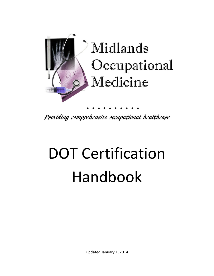

Providing comprehensive occupational healthcare

# DOT Certification Handbook

Updated January 1, 2014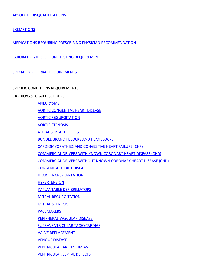[EXEMPTIONS](#page-4-0)

[MEDICATIONS REQUIRING PRESCRIBING PHYSICIAN RECOMMENDATION](#page-5-0)

[LABORATORY/PROCEDURE TESTING REQUIREMENTS](#page-6-0)

[SPECIALTY REFERRAL](#page-7-0) REQUIREMENTS

# SPECIFIC CONDITIONS REQUIREMENTS

## CARDIOVASCULAR DISORDERS

[ANEURYSMS](#page-8-0)

[AORTIC CONGENITAL HEART DISEASE](#page-9-0)

[AORTIC REGURGITATION](#page-10-0)

[AORTIC STENOSIS](#page-11-0)

[ATRIAL SEPTAL DEFECTS](#page-12-0)

[BUNDLE BRANCH BLOCKS AND HEMIBLOCKS](#page-15-0)

[CARDIOMYOPATHIES AND CONGESTIVE HEART FAILURE \(CHF\)](#page-15-1)

[COMMERCIAL DRIVERS WITH KNOWN CORONARY HEART DISEASE \(CHD\)](#page-16-0)

COMMERCIAL DRIVERS [WITHOUT KNOWN CORONARY HEART DISEASE \(CHD\)](#page-17-0)

[CONGENITAL HEART DISEASE](#page-18-0)

[HEART TRANSPLANTATION](#page-21-0)

**[HYPERTENSION](#page-22-0)** 

[IMPLANTABLE DEFIBRILLATORS](#page-23-0)

[MITRAL REGURGITATION](#page-23-1)

[MITRAL STENOSIS](#page-24-0)

[PACEMAKERS](#page-25-0)

[PERIPHERAL VASCULAR DISEASE](#page-26-0)

[SUPRAVENTRICULAR TACHYCARDIAS](#page-27-0)

[VALVE REPLACEMENT](#page-29-0)

[VENOUS DISEASE](#page-30-0)

[VENTRICULAR ARRHYTHMIAS](#page-31-0)

[VENTRICULAR SEPTAL DEFECTS](#page-32-0)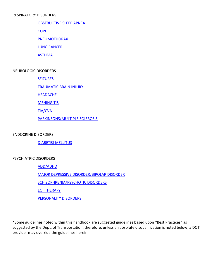#### RESPIRATORY DISORDERS

#### [OBSTRUCTIVE](#page-33-0) SLEEP APNEA

[COPD](#page-33-1)

**[PNEUMOTHORAX](#page-33-2)** 

[LUNG CANCER](#page-33-3)

**[ASTHMA](#page-33-4)** 

#### NEUROLOGIC DISORDERS

[SEIZURES](#page-34-0)

[TRAUMATIC BRAIN INJURY](#page-34-1)

**[HEADACHE](#page-34-2)** 

**[MENINGITIS](#page-35-0)** 

[TIA/CVA](#page-35-1)

[PARKINSONS/MULTIPLE SCLEROSIS](#page-35-2)

ENDOCRINE DISORDERS

[DIABETES MELLITUS](#page-36-0)

#### PSYCHIATRIC DISORDERS

[ADD/ADHD](#page-38-0)

[MAJOR DEPRESSIVE DISORDER/BIPOLAR DISORDER](#page-38-1)

[SCHIZOPHRENIA/PSYCHOTIC DISORDERS](#page-38-2)

[ECT THERAPY](#page-38-3)

[PERSONALITY DISORDERS](#page-38-4)

\*Some guidelines noted within this handbook are suggested guidelines based upon "Best Practices" as suggested by the Dept. of Transportation, therefore, unless an absolute disqualification is noted below, a DOT provider may override the guidelines herein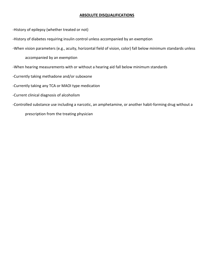#### <span id="page-3-0"></span>**ABSOLUTE DISQUALIFICATIONS**

-History of epilepsy (whether treated or not)

-History of diabetes requiring insulin control unless accompanied by an exemption

-When vision parameters (e.g., acuity, horizontal field of vision, color) fall below minimum standards unless

accompanied by an exemption

- -When hearing measurements with or without a hearing aid fall below minimum standards
- -Currently taking methadone and/or suboxone

-Currently taking any TCA or MAOI type medication

- -Current clinical diagnosis of alcoholism
- -Controlled substance use including a narcotic, an amphetamine, or another habit-forming drug without a

prescription from the treating physician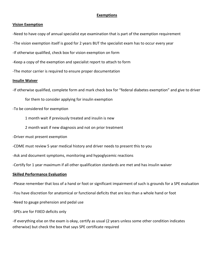### <span id="page-4-0"></span>**Exemptions**

#### **Vision Exemption**

-Need to have copy of annual specialist eye examination that is part of the exemption requirement

- -The vision exemption itself is good for 2 years BUT the specialist exam has to occur every year
- -If otherwise qualified, check box for vision exemption on form
- -Keep a copy of the exemption and specialist report to attach to form
- -The motor carrier is required to ensure proper documentation

#### **Insulin Waiver**

-If otherwise qualified, complete form and mark check box for "federal diabetes exemption" and give to driver

for them to consider applying for insulin exemption

-To be considered for exemption

1 month wait if previously treated and insulin is new

2 month wait if new diagnosis and not on prior treatment

-Driver must present exemption

-CDME must review 5 year medical history and driver needs to present this to you

-Ask and document symptoms, monitoring and hypoglycemic reactions

-Certify for 1 year maximum if all other qualification standards are met and has insulin waiver

#### **Skilled Performance Evaluation**

-Please remember that loss of a hand or foot or significant impairment of such is grounds for a SPE evaluation

-You have discretion for anatomical or functional deficits that are less than a whole hand or foot

-Need to gauge prehension and pedal use

-SPEs are for FIXED deficits only

-If everything else on the exam is okay, certify as usual (2 years unless some other condition indicates otherwise) but check the box that says SPE certificate required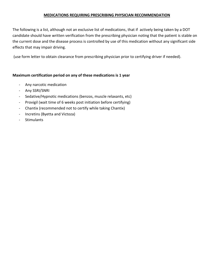## <span id="page-5-0"></span>**MEDICATIONS REQUIRING PRESCRIBING PHYSICIAN RECOMMENDATION**

The following is a list, although not an exclusive list of medications, that if actively being taken by a DOT candidate should have written verification from the prescribing physician noting that the patient is stable on the current dose and the disease process is controlled by use of this medication without any significant side effects that may impair driving.

(use form letter to obtain clearance from prescribing physician prior to certifying driver if needed).

# **Maximum certification period on any of these medications is 1 year**

- Any narcotic medication
- Any SSRI/SNRI
- Sedative/Hypnotic medications (benzos, muscle relaxants, etc)
- Provigil (wait time of 6 weeks post initiation before certifying)
- Chantix (recommended not to certify while taking Chantix)
- Incretins (Byetta and Victoza)
- Stimulants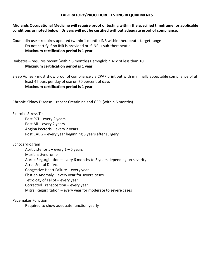#### <span id="page-6-0"></span>**LABORATORY/PROCEDURE TESTING REQUIREMENTS**

# **Midlands Occupational Medicine will require proof of testing within the specified timeframe for applicable conditions as noted below. Drivers will not be certified without adequate proof of compliance.**

Coumadin use – requires updated (within 1 month) INR within therapeutic target range Do not certify if no INR is provided or if INR is sub-therapeutic **Maximum certification period is 1 year**

Diabetes – requires recent (within 6 months) Hemoglobin A1c of less than 10 **Maximum certification period is 1 year**

Sleep Apnea - must show proof of compliance via CPAP print out with minimally acceptable compliance of at least 4 hours per day of use on 70 percent of days **Maximum certification period is 1 year**

Chronic Kidney Disease – recent Creatinine and GFR (within 6 months)

Exercise Stress Test Post PCI – every 2 years

Post MI – every 2 years Angina Pectoris – every 2 years Post CABG – every year beginning 5 years after surgery

Echocardiogram

Aortic stenosis – every  $1 - 5$  years Marfans Syndrome Aortic Regurgitation – every 6 months to 3 years depending on severity Atrial Septal Defect Congestive Heart Failure – every year Ebstien Anomaly – every year for severe cases Tetrology of Fallot – every year Corrected Transposition – every year Mitral Regurgitation – every year for moderate to severe cases

Pacemaker Function

Required to show adequate function yearly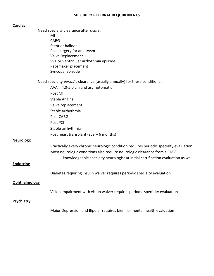## <span id="page-7-0"></span>**SPECIALTY REFERRAL REQUIREMENTS**

| <b>Cardiac</b>    |                                                                                       |
|-------------------|---------------------------------------------------------------------------------------|
|                   | Need specialty clearance after acute:                                                 |
|                   | MI                                                                                    |
|                   | <b>CABG</b>                                                                           |
|                   | Stent or balloon                                                                      |
|                   | Post surgery for aneurysm                                                             |
|                   | Valve Replacement                                                                     |
|                   | SVT or Ventricular arrhythmia episode                                                 |
|                   | Pacemaker placement                                                                   |
|                   | Syncopal episode                                                                      |
|                   | Need specialty <i>periodic</i> clearance (usually annually) for these conditions :    |
|                   | AAA if 4.0-5.0 cm and asymptomatic                                                    |
|                   | Post MI                                                                               |
|                   | Stable Angina                                                                         |
|                   | Valve replacement                                                                     |
|                   | Stable arrhythmia                                                                     |
|                   | Post CABG                                                                             |
|                   | Post PCI                                                                              |
|                   | Stable arrhythmia                                                                     |
|                   | Post heart transplant (every 6 months)                                                |
| <b>Neurologic</b> |                                                                                       |
|                   | Practically every chronic neurologic condition requires periodic specialty evaluation |
|                   | Most neurologic conditions also require neurologic clearance from a CMV               |
|                   |                                                                                       |
|                   | knowledgeable specialty neurologist at initial certification evaluation as well       |
| <b>Endocrine</b>  |                                                                                       |
|                   | Diabetes requiring insulin waiver requires periodic specialty evaluation              |
| Ophthalmology     |                                                                                       |
|                   | Vision impairment with vision waiver requires periodic specialty evaluation           |
| <b>Psychiatry</b> |                                                                                       |
|                   |                                                                                       |
|                   | المارا وتعامله ومرزا والمتامين ومناويات                                               |

Major Depression and Bipolar requires biennial mental health evaluation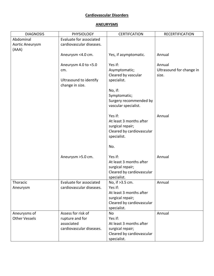## **Cardiovascular Disorders**

## <span id="page-8-0"></span>**ANEURYSMS**

| <b>DIAGNOSIS</b>                      | <b>PHYSIOLOGY</b>                                                               | <b>CERTIFCATION</b>                                                                                                   | <b>RECERTIFICATION</b>                      |
|---------------------------------------|---------------------------------------------------------------------------------|-----------------------------------------------------------------------------------------------------------------------|---------------------------------------------|
| Abdominal<br>Aortic Aneurysm<br>(AAA) | Evaluate for associated<br>cardiovascular diseases.                             |                                                                                                                       |                                             |
|                                       | Aneurysm <4.0 cm.                                                               | Yes, if asymptomatic.                                                                                                 | Annual                                      |
|                                       | Aneurysm 4.0 to <5.0<br>cm.<br>Ultrasound to identify<br>change in size.        | Yes if:<br>Asymptomatic;<br>Cleared by vascular<br>specialist.<br>No, if:                                             | Annual<br>Ultrasound for change in<br>size. |
|                                       |                                                                                 | Symptomatic;<br>Surgery recommended by<br>vascular specialist.                                                        |                                             |
|                                       |                                                                                 | Yes if:<br>At least 3 months after<br>surgical repair;<br>Cleared by cardiovascular<br>specialist.                    | Annual                                      |
|                                       |                                                                                 | No.                                                                                                                   |                                             |
|                                       | Aneurysm >5.0 cm.                                                               | Yes if:<br>At least 3 months after<br>surgical repair;<br>Cleared by cardiovascular<br>specialist.                    | Annual                                      |
| Thoracic<br>Aneurysm                  | Evaluate for associated<br>cardiovascular diseases.                             | No, if >3.5 cm.<br>Yes if:<br>At least 3 months after<br>surgical repair;<br>Cleared by cardiovascular<br>specialist. | Annual                                      |
| Aneurysms of<br><b>Other Vessels</b>  | Assess for risk of<br>rupture and for<br>associated<br>cardiovascular diseases. | <b>No</b><br>Yes if:<br>At least 3 months after<br>surgical repair;<br>Cleared by cardiovascular<br>specialist.       | Annual                                      |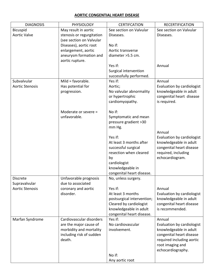# <span id="page-9-0"></span>**AORTIC CONGENTIAL HEART DISEASE**

| <b>DIAGNOSIS</b>       | <b>PHYSIOLOGY</b>         | <b>CERTIFCATION</b>                  | <b>RECERTIFICATION</b>     |
|------------------------|---------------------------|--------------------------------------|----------------------------|
| Bicuspid               | May result in aortic      | See section on Valvular              | See section on Valvular    |
| <b>Aortic Valve</b>    | stenosis or regurgitation | Diseases.                            | Diseases.                  |
|                        | (see section on Valvular  |                                      |                            |
|                        | Diseases), aortic root    | No if:                               |                            |
|                        | enlargement, aortic       | Aortic transverse                    |                            |
|                        | aneurysm formation and    | diameter > 5.5 cm.                   |                            |
|                        | aortic rupture.           |                                      |                            |
|                        |                           | Yes if:                              | Annual                     |
|                        |                           | Surgical intervention                |                            |
|                        |                           | successfully performed.              |                            |
| Subvalvular            | Mild = $favorable$ .      | Yes if:                              | Annual                     |
| <b>Aortic Stenosis</b> | Has potential for         | Aortic;                              | Evaluation by cardiologist |
|                        | progression.              | No valvular abnormality              | knowledgeable in adult     |
|                        |                           | or hypertrophic                      | congenital heart disease   |
|                        |                           | cardiomyopathy.                      | is required.               |
|                        | Moderate or severe =      | No if:                               |                            |
|                        | unfavorable.              | Symptomatic and mean                 |                            |
|                        |                           | pressure gradient >30                |                            |
|                        |                           | mm Hg.                               |                            |
|                        |                           |                                      | Annual                     |
|                        |                           | Yes if:                              | Evaluation by cardiologist |
|                        |                           | At least 3 months after              | knowledgeable in adult     |
|                        |                           | successful surgical                  | congenital heart disease   |
|                        |                           | resection when cleared               | required, including        |
|                        |                           | by                                   | echocardiogram.            |
|                        |                           | cardiologist                         |                            |
|                        |                           | knowledgeable in                     |                            |
|                        |                           | congenital heart disease.            |                            |
| Discrete               | Unfavorable prognosis     | No, unless surgery.                  |                            |
| Supravalvular          | due to associated         |                                      |                            |
| <b>Aortic Stenosis</b> | coronary and aortic       | Yes if:                              | Annual                     |
|                        | disorder.                 | At least 3 months                    | Evaluation by cardiologist |
|                        |                           | postsurgical intervention;           | knowledgeable in adult     |
|                        |                           | Cleared by cardiologist              | congenital heart disease   |
|                        |                           | knowledgeable in adult               | is recommended.            |
| Marfan Syndrome        | Cardiovascular disorders  | congenital heart disease.<br>Yes if: | Annual                     |
|                        | are the major cause of    | No cardiovascular                    | Evaluation by cardiologist |
|                        | morbidity and mortality   | involvement.                         | knowledgeable in adult     |
|                        | including risk of sudden  |                                      | congenital heart disease   |
|                        | death.                    |                                      | required including aortic  |
|                        |                           |                                      | root imaging and           |
|                        |                           |                                      | echocardiography.          |
|                        |                           | No if:                               |                            |
|                        |                           | Any aortic root                      |                            |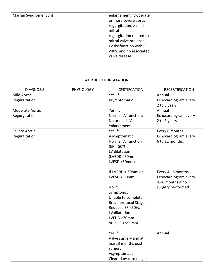| Marfan Syndrome (cont) | enlargement; Moderate    |
|------------------------|--------------------------|
|                        | or more severe aortic    |
|                        | regurgitation; > mild    |
|                        | mitral                   |
|                        | regurgitation related to |
|                        | mitral valve prolapse;   |
|                        | LV dysfunction with EF   |
|                        | <40% and no associated   |
|                        | valve disease.           |

# <span id="page-10-0"></span>**AORTIC REGURGITATION**

| <b>DIAGNOSIS</b>   | <b>PHYSIOLOGY</b> | <b>CERTIFCATION</b>      | <b>RECERTIFICATION</b> |
|--------------------|-------------------|--------------------------|------------------------|
| <b>Mild Aortic</b> |                   | Yes, if                  | Annual                 |
| Regurgitation      |                   | asymptomatic.            | Echocardiogram every   |
|                    |                   |                          | 2 to 3 years.          |
| Moderate Aortic    |                   | Yes, if:                 | Annual                 |
| Regurgitation      |                   | Normal LV function;      | Echocardiogram every   |
|                    |                   | No or mild LV            | 2 to 3 years.          |
|                    |                   | enlargement.             |                        |
| Severe Aortic      |                   | Yes if:                  | Every 6 months         |
| Regurgitation      |                   | Asymptomatic;            | Echocardiogram every   |
|                    |                   | Normal LV function       | 6 to 12 months.        |
|                    |                   | $(EF = 50\%);$           |                        |
|                    |                   | LV dilatation            |                        |
|                    |                   | (LVEDD <60mm,            |                        |
|                    |                   | LVESD <50mm).            |                        |
|                    |                   |                          |                        |
|                    |                   | If LVEDD = $60$ mm or    | Every 4.-6 months      |
|                    |                   | $LVESD = 50mm.$          | Echocardiogram every   |
|                    |                   |                          | 4.-6 months if no      |
|                    |                   | No if:                   | surgery performed.     |
|                    |                   | Symptoms;                |                        |
|                    |                   | Unable to complete       |                        |
|                    |                   | Bruce protocol Stage II; |                        |
|                    |                   | Reduced EF <50%,         |                        |
|                    |                   | LV dilatation            |                        |
|                    |                   | LVEDD >70mm              |                        |
|                    |                   | or LVESD >55mm.          |                        |
|                    |                   |                          |                        |
|                    |                   | Yes if:                  | Annual                 |
|                    |                   | Valve surgery and at     |                        |
|                    |                   | least 3 months post      |                        |
|                    |                   | surgery;                 |                        |
|                    |                   | Asymptomatic;            |                        |
|                    |                   | Cleared by cardiologist. |                        |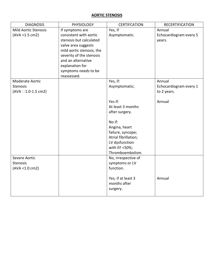#### <span id="page-11-0"></span>**AORTIC STENOSIS**

| <b>DIAGNOSIS</b>                                                          | <b>PHYSIOLOGY</b>                                                                                                                                                                                                                    | <b>CERTIFCATION</b>                                                                                                                           | <b>RECERTIFICATION</b>                                    |
|---------------------------------------------------------------------------|--------------------------------------------------------------------------------------------------------------------------------------------------------------------------------------------------------------------------------------|-----------------------------------------------------------------------------------------------------------------------------------------------|-----------------------------------------------------------|
| <b>Mild Aortic Stenosis</b><br>(AVA > 1.5 cm2)                            | If symptoms are<br>consistent with aortic<br>stenosis but calculated<br>valve area suggests<br>mild aortic stenosis, the<br>severity of the stenosis<br>and an alternative<br>explanation for<br>symptoms needs to be<br>reassessed. | Yes, if<br>Asymptomatic.                                                                                                                      | Annual<br>Echocardiogram every 5<br>years.                |
| Moderate Aortic<br><b>Stenosis</b><br>$(AVA \square 1.0-1.5 \text{ cm2})$ |                                                                                                                                                                                                                                      | Yes, if:<br>Asymptomatic;<br>Yes if:<br>At least 3 months                                                                                     | Annual<br>Echocardiogram every 1<br>to 2 years.<br>Annual |
|                                                                           |                                                                                                                                                                                                                                      | after surgery.<br>No if:<br>Angina, heart<br>failure, syncope;<br>Atrial fibrillation;<br>LV dysfunction<br>with EF <50%;<br>Thromboembolism. |                                                           |
| Severe Aortic<br><b>Stenosis</b><br>(AVA <1.0 cm2)                        |                                                                                                                                                                                                                                      | No, irrespective of<br>symptoms or LV<br>function.<br>Yes, if at least 3<br>months after<br>surgery.                                          | Annual                                                    |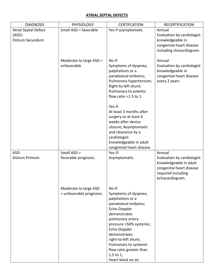## <span id="page-12-0"></span>**ATRIAL SEPTAL DEFECTS**

| <b>DIAGNOSIS</b>                                            | <b>PHYSIOLOGY</b>                                 | <b>CERTIFCATION</b>                                                                                                                                                                                                                                                                                                                                                                       | <b>RECERTIFICATION</b>                                                                                                              |
|-------------------------------------------------------------|---------------------------------------------------|-------------------------------------------------------------------------------------------------------------------------------------------------------------------------------------------------------------------------------------------------------------------------------------------------------------------------------------------------------------------------------------------|-------------------------------------------------------------------------------------------------------------------------------------|
| <b>Atrial Septal Defect</b><br>$(ASD)$ :<br>Ostium Secundum | Small ASD = favorable                             | Yes if asymptomatic                                                                                                                                                                                                                                                                                                                                                                       | Annual<br>Evaluation by cardiologist<br>knowledgeable in<br>congential heart disease<br>including chocardiogram.                    |
|                                                             | Moderate to large ASD =<br>unfavorable            | No if:<br>Symptoms of dyspnea,<br>palpitations or a<br>paradoxical embolus;<br>Pulmonary hypertension;<br>Right-to-left shunt;<br>Pulmonary to ystemic<br>flow ratio >1.5 to 1.<br>Yes if:<br>At least 3 months after<br>surgery or at least 4<br>weeks after device<br>closure; Asymptomatic<br>and clearance by a<br>cardiologist<br>knowledgeable in adult<br>congenital heart disease | Annual<br>Evaluation by cardiologist<br>knowledgeable in<br>congential heart disease<br>every 2 years                               |
| ASD:<br><b>Ostium Primum</b>                                | Small $ASD =$<br>favorable prognosis.             | Yes if:<br>Asymptomatic.                                                                                                                                                                                                                                                                                                                                                                  | Annual<br>Evaluation by cardiologist<br>knowledgeable in adult<br>congenital heart disease<br>required including<br>echocardiogram. |
|                                                             | Moderate to large ASD<br>= unfavorable prognosis. | No if:<br>Symptoms of dyspnea,<br>palpitations or a<br>paradoxical embolus;<br>Echo-Doppler<br>demonstrates<br>pulmonary artery<br>pressure >50% systemic;<br>Echo-Doppler<br>demonstrates<br>right-to-left shunt;<br>Pulmonary to systemic<br>flow ratio greater than<br>$1.5$ to $1$ ;<br>Heart block on an                                                                             |                                                                                                                                     |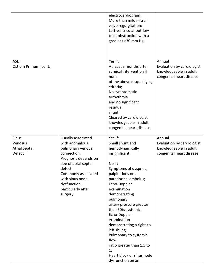|                                                           |                                                                                                                                                                                                                                 | electrocardiogram;<br>More than mild mitral<br>valve regurgitation;<br>Left ventricular outflow<br>tract obstruction with a<br>gradient >30 mm Hg.                                                                                                                                                                                                                                                                                                            |                                                                                             |
|-----------------------------------------------------------|---------------------------------------------------------------------------------------------------------------------------------------------------------------------------------------------------------------------------------|---------------------------------------------------------------------------------------------------------------------------------------------------------------------------------------------------------------------------------------------------------------------------------------------------------------------------------------------------------------------------------------------------------------------------------------------------------------|---------------------------------------------------------------------------------------------|
| ASD:<br>Ostium Primum (cont.)                             |                                                                                                                                                                                                                                 | Yes if:<br>At least 3 months after<br>surgical intervention if<br>none<br>of the above disqualifying<br>criteria;<br>No symptomatic<br>arrhythmia<br>and no significant<br>residual<br>shunt;<br>Cleared by cardiologist<br>knowledgeable in adult<br>congenital heart disease.                                                                                                                                                                               | Annual<br>Evaluation by cardiologist<br>knowledgeable in adult<br>congenital heart disease. |
| <b>Sinus</b><br>Venosus<br><b>Atrial Septal</b><br>Defect | Usually associated<br>with anomalous<br>pulmonary venous<br>connection.<br>Prognosis depends on<br>size of atrial septal<br>defect.<br>Commonly associated<br>with sinus node<br>dysfunction,<br>particularly after<br>surgery. | Yes if:<br>Small shunt and<br>hemodynamically<br>insignificant.<br>No if:<br>Symptoms of dyspnea,<br>palpitations or a<br>paradoxical embolus;<br>Echo-Doppler<br>examination<br>demonstrating<br>pulmonary<br>artery pressure greater<br>than 50% systemic;<br>Echo-Doppler<br>examination<br>demonstrating a right-to-<br>left shunt;<br>Pulmonary to systemic<br>flow<br>ratio greater than 1.5 to<br>1;<br>Heart block or sinus node<br>dysfunction on an | Annual<br>Evaluation by cardiologist<br>knowledgeable in adult<br>congenital heart disease. |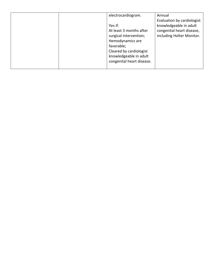|  | electrocardiogram.        | Annual                     |
|--|---------------------------|----------------------------|
|  |                           | Evaluation by cardiologist |
|  | Yes if:                   | knowledgeable in adult     |
|  | At least 3 months after   | congenital heart disease,  |
|  | surgical intervention;    | including Holter Monitor.  |
|  | Hemodynamics are          |                            |
|  | favorable;                |                            |
|  | Cleared by cardiologist   |                            |
|  | knowledgeable in adult    |                            |
|  | congenital heart disease. |                            |
|  |                           |                            |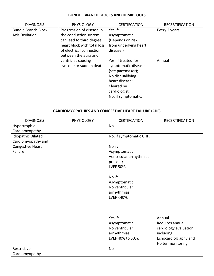## <span id="page-15-0"></span>**BUNDLE BRANCH BLOCKS AND HEMIBLOCKS**

| <b>DIAGNOSIS</b>           | <b>PHYSIOLOGY</b>           | <b>CERTIFCATION</b>   | <b>RECERTIFICATION</b> |
|----------------------------|-----------------------------|-----------------------|------------------------|
| <b>Bundle Branch Block</b> | Progression of disease in   | Yes if:               | Every 2 years          |
| Axis Deviation             | the conduction system       | Asymptomatic.         |                        |
|                            | can lead to third degree    | (Depends on risk      |                        |
|                            | heart block with total loss | from underlying heart |                        |
|                            | of electrical connection    | disease.)             |                        |
|                            | between the atria and       |                       |                        |
|                            | ventricles causing          | Yes, if treated for   | Annual                 |
|                            | syncope or sudden death.    | symptomatic disease   |                        |
|                            |                             | (see pacemaker);      |                        |
|                            |                             | No disqualifying      |                        |
|                            |                             | heart disease;        |                        |
|                            |                             | Cleared by            |                        |
|                            |                             | cardiologist.         |                        |
|                            |                             | No, if symptomatic.   |                        |

# <span id="page-15-1"></span>**CARDIOMYOPATHIES AND CONGESTIVE HEART FAILURE (CHF)**

| <b>DIAGNOSIS</b>          | <b>PHYSIOLOGY</b> | <b>CERTIFCATION</b>     | <b>RECERTIFICATION</b> |
|---------------------------|-------------------|-------------------------|------------------------|
| Hypertrophic              |                   | No.                     |                        |
| Cardiomyopathy            |                   |                         |                        |
| <b>Idiopathic Dilated</b> |                   | No, if symptomatic CHF. |                        |
| Cardiomyopathy and        |                   |                         |                        |
| Congestive Heart          |                   | No if:                  |                        |
| Failure                   |                   | Asymptomatic;           |                        |
|                           |                   | Ventricular arrhythmias |                        |
|                           |                   | present;                |                        |
|                           |                   | LVEF 50%.               |                        |
|                           |                   |                         |                        |
|                           |                   | No if:                  |                        |
|                           |                   | Asymptomatic;           |                        |
|                           |                   | No ventricular          |                        |
|                           |                   | arrhythmias;            |                        |
|                           |                   | LVEF <40%.              |                        |
|                           |                   |                         |                        |
|                           |                   |                         |                        |
|                           |                   |                         |                        |
|                           |                   | Yes if:                 | Annual                 |
|                           |                   | Asymptomatic;           | Requires annual        |
|                           |                   | No ventricular          | cardiology evaluation  |
|                           |                   | arrhythmias;            | including              |
|                           |                   | LVEF 40% to 50%.        | Echocardiography and   |
|                           |                   |                         | Holter monitoring.     |
| Restrictive               |                   | No                      |                        |
| Cardiomyopathy            |                   |                         |                        |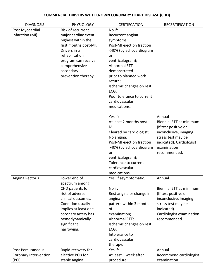## <span id="page-16-0"></span>**COMMERCIAL DRIVERS WITH KNOWN CORONARY HEART DISEASE (CHD)**

| <b>DIAGNOSIS</b>               | <b>PHYSIOLOGY</b>     | <b>CERTIFCATION</b>       | <b>RECERTIFICATION</b>                 |
|--------------------------------|-----------------------|---------------------------|----------------------------------------|
| Post Myocardial                | Risk of recurrent     | No if:                    |                                        |
| Infarction (MI)                | major cardiac event   | Recurrent angina          |                                        |
|                                | highest within the    | symptoms;                 |                                        |
|                                | first months post-MI. | Post-MI ejection fraction |                                        |
|                                | Drivers in a          | <40% (by echocardiogram   |                                        |
|                                | rehabilitation        | or                        |                                        |
|                                | program can receive   | ventriculogram);          |                                        |
|                                | comprehensive         | <b>Abnormal ETT</b>       |                                        |
|                                | secondary             | demonstrated              |                                        |
|                                | prevention therapy.   | prior to planned work     |                                        |
|                                |                       | return;                   |                                        |
|                                |                       | Ischemic changes on rest  |                                        |
|                                |                       | ECG;                      |                                        |
|                                |                       | Poor tolerance to current |                                        |
|                                |                       | cardiovascular            |                                        |
|                                |                       | medications.              |                                        |
|                                |                       | Yes if:                   | Annual                                 |
|                                |                       | At least 2 months post-   | Biennial ETT at minimum                |
|                                |                       | MI;                       | (If test positive or                   |
|                                |                       | Cleared by cardiologist;  | inconclusive, imaging                  |
|                                |                       | No angina;                | stress test may be                     |
|                                |                       | Post-MI ejection fraction | indicated). Cardiologist               |
|                                |                       | >40% (by echocardiogram   | examination                            |
|                                |                       | or                        | recommended.                           |
|                                |                       | ventriculogram);          |                                        |
|                                |                       | Tolerance to current      |                                        |
|                                |                       | cardiovascular            |                                        |
|                                |                       | medications.              |                                        |
| Angina Pectoris                | Lower end of          | Yes, if asymptomatic.     | Annual                                 |
|                                | spectrum among        |                           |                                        |
|                                | CHD patients for      | No if:                    | Biennial ETT at minimum                |
|                                | risk of adverse       | Rest angina or change in  | (If test positive or                   |
|                                | clinical outcomes.    | angina                    | inconclusive, imaging                  |
|                                | Condition usually     | pattern within 3 months   | stress test may be                     |
|                                | implies at least one  | of                        | indicated).                            |
|                                | coronary artery has   | examination;              | Cardiologist examination               |
|                                | hemodynamically       | Abnormal ETT;             | recommended.                           |
|                                | significant           | Ischemic changes on rest  |                                        |
|                                | narrowing.            | ECG;                      |                                        |
|                                |                       | Intolerance to            |                                        |
|                                |                       | cardiovascular            |                                        |
|                                |                       | therapy.                  |                                        |
| Post Percutaneous              | Rapid recovery for    | Yes if:                   | Annual                                 |
| Coronary Intervention<br>(PCI) | elective PCIs for     | At least 1 week after     | Recommend cardiologist<br>examination. |
|                                | stable angina.        | procedure;                |                                        |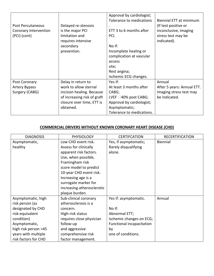|                       |                             | Approval by cardiologist;     |                            |
|-----------------------|-----------------------------|-------------------------------|----------------------------|
|                       |                             | Tolerance to medications      | Biennial ETT at minimum    |
| Post Percutaneous     | Delayed re-stenosis         |                               | (If test positive or       |
| Coronary Intervention | is the major PCI            | ETT 3 to 6 months after       | inconclusive, imaging      |
| (PCI) (cont)          | limitation and              | PCI.                          | stress test may be         |
|                       | requires intensive          |                               | indicated).                |
|                       | secondary                   | No if:                        |                            |
|                       | prevention.                 | Incomplete healing or         |                            |
|                       |                             | complication at vascular      |                            |
|                       |                             | access                        |                            |
|                       |                             | site;                         |                            |
|                       |                             | Rest angina;                  |                            |
|                       |                             | Ischemic ECG changes.         |                            |
| Post Coronary         | Delay in return to          | Yes if:                       | Annual                     |
| <b>Artery Bypass</b>  | work to allow sternal       | At least 3 months after       | After 5 years: Annual ETT. |
| Surgery (CABG)        | incision healing. Because   | CABG;                         | Imaging stress test may    |
|                       | of increasing risk of graft | LVEF $\square$ 40% post CABG; | be indicated.              |
|                       | closure over time, ETT is   | Approval by cardiologist;     |                            |
|                       | obtained.                   | Asymptomatic;                 |                            |
|                       |                             | Tolerance to medications.     |                            |

# <span id="page-17-0"></span>**COMMERCIAL DRIVERS WITHOUT KNOWN CORONARY HEART DISEASE (CHD)**

| <b>DIAGNOSIS</b>     | <b>PHYSIOLOGY</b>          | <b>CERTIFCATION</b>       | <b>RECERTIFICATION</b> |
|----------------------|----------------------------|---------------------------|------------------------|
| Asymptomatic,        | Low CHD event risk.        | Yes, if asymptomatic;     | Biennial               |
| healthy              | Assess for clinically      | Rarely disqualifying      |                        |
|                      | apparent risk factors.     | alone.                    |                        |
|                      | Use, when possible,        |                           |                        |
|                      | Framingham risk            |                           |                        |
|                      | score model to predict     |                           |                        |
|                      | 10-year CHD event risk.    |                           |                        |
|                      | Increasing age is a        |                           |                        |
|                      | surrogate marker for       |                           |                        |
|                      | increasing atherosclerotic |                           |                        |
|                      | plaque burden.             |                           |                        |
| Asymptomatic, high   | Sub-clinical coronary      | Yes if: asymptomatic.     | Annual                 |
| risk person (as      | atherosclerosis is a       |                           |                        |
| designated by CHD    | concern.                   | No if:                    |                        |
| risk-equivalent      | High-risk status           | Abnormal ETT;             |                        |
| condition)           | requires close physician   | Ischemic changes on ECG;  |                        |
| Asymptomatic,        | follow-up                  | Functional incapacitation |                        |
| high risk person >45 | and aggressive             | by                        |                        |
| years with multiple  | comprehensive risk         | one of conditions.        |                        |
| risk factors for CHD | factor management.         |                           |                        |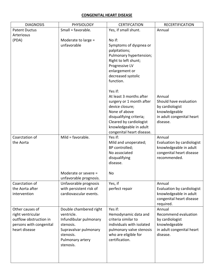## <span id="page-18-0"></span>**CONGENITAL HEART DISEASE**

| <b>DIAGNOSIS</b>        | <b>PHYSIOLOGY</b>       | <b>CERTIFCATION</b>       | <b>RECERTIFICATION</b>     |
|-------------------------|-------------------------|---------------------------|----------------------------|
| <b>Patent Ductus</b>    | Small = favorable.      | Yes, if small shunt.      | Annual                     |
| Arteriosus              |                         |                           |                            |
| (PDA)                   | Moderate to large =     | No if:                    |                            |
|                         | unfavorable             | Symptoms of dyspnea or    |                            |
|                         |                         | palpitations;             |                            |
|                         |                         | Pulmonary hypertension;   |                            |
|                         |                         | Right to left shunt;      |                            |
|                         |                         | Progressive LV            |                            |
|                         |                         | enlargement or            |                            |
|                         |                         | decreased systolic        |                            |
|                         |                         | function.                 |                            |
|                         |                         | Yes if:                   |                            |
|                         |                         | At least 3 months after   | Annual                     |
|                         |                         | surgery or 1 month after  | Should have evaluation     |
|                         |                         | device closure;           | by cardiologist            |
|                         |                         | None of above             | knowledgeable              |
|                         |                         | disqualifying criteria;   | in adult congenital heart  |
|                         |                         | Cleared by cardiologist   | disease.                   |
|                         |                         | knowledgeable in adult    |                            |
|                         |                         | congenital heart disease. |                            |
| Coarctation of          | Mild = $favorable$ .    | Yes if:                   | Annual                     |
| the Aorta               |                         | Mild and unoperated;      | Evaluation by cardiologist |
|                         |                         | BP controlled;            | knowledgeable in adult     |
|                         |                         | No associated             | congenital heart disease   |
|                         |                         | disqualifying             | recommended.               |
|                         |                         | disease.                  |                            |
|                         | Moderate or severe =    | No                        |                            |
|                         | unfavorable prognosis.  |                           |                            |
| Coarctation of          | Unfavorable prognosis   | Yes, if                   | Annual                     |
| the Aorta after         | with persistent risk of | perfect repair            | Evaluation by cardiologist |
| intervention            | cardiovascular events.  |                           | knowledgeable in adult     |
|                         |                         |                           | congenital heart disease   |
|                         |                         |                           | required.                  |
| Other causes of         | Double chambered right  | Yes if:                   | Annual                     |
| right ventricular       | ventricle.              | Hemodynamic data and      | Recommend evaluation       |
| outflow obstruction in  | Infundibular pulmonary  | criteria similar to       | by cardiologist            |
| persons with congenital | stenosis.               | individuals with isolated | knowledgeable              |
| heart disease           | Supravalvar pulmonary   | pulmonary valve stenosis  | in adult congenital heart  |
|                         | stenosis.               | who are eligible for      | disease.                   |
|                         | Pulmonary artery        | certification.            |                            |
|                         | stenosis.               |                           |                            |
|                         |                         |                           |                            |
|                         |                         |                           |                            |
|                         |                         |                           |                            |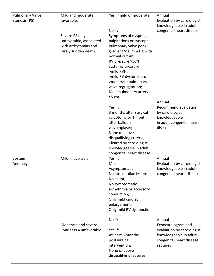| <b>Pulmonary Valve</b> | Mild and moderate =     | Yes, if mild or moderate.                   | Annual                     |
|------------------------|-------------------------|---------------------------------------------|----------------------------|
| Stenosis (PS)          | favorable.              |                                             | Evaluation by cardiologist |
|                        |                         |                                             | knowledgeable in adult     |
|                        |                         | No if:                                      | congenital heart disease.  |
|                        | Severe PS may be        | Symptoms of dyspnea,                        |                            |
|                        | unfavorable, associated | palpitations or syncope;                    |                            |
|                        | with arrhythmias and    | Pulmonary valve peak                        |                            |
|                        | rarely sudden death.    | gradient >50 mm Hg with                     |                            |
|                        |                         | normal output;                              |                            |
|                        |                         | RV pressure >50%                            |                            |
|                        |                         | systemic pressure;                          |                            |
|                        |                         | >mild RVH;                                  |                            |
|                        |                         | >mild RV dysfunction;                       |                            |
|                        |                         | >moderate pulmonary<br>valve regurgitation; |                            |
|                        |                         | Main pulmonary artery                       |                            |
|                        |                         | >5 cm.                                      |                            |
|                        |                         |                                             | Annual                     |
|                        |                         | Yes if:                                     | Recommend evaluation       |
|                        |                         | 3 months after surgical                     | by cardiologist            |
|                        |                         | valvotomy or 1 month                        | knowledgeable              |
|                        |                         | after balloon                               | in adult congenital heart  |
|                        |                         | valvuloplasty;                              | disease.                   |
|                        |                         | None of above                               |                            |
|                        |                         | disqualifying criteria;                     |                            |
|                        |                         | Cleared by cardiologist                     |                            |
|                        |                         | knowledgeable in adult                      |                            |
|                        |                         | congenital heart disease.                   |                            |
| Ebstein                | Mild = $favorable$ .    | Yes if:                                     | Annual                     |
| Anomaly                |                         | Mild;                                       | Evaluation by cardiologist |
|                        |                         | Asymptomatic;                               | knowledgeable in adult     |
|                        |                         | No intracardiac lesions;<br>No shunt;       | congenital heart disease.  |
|                        |                         | No symptomatic                              |                            |
|                        |                         | arrhythmia or accessory                     |                            |
|                        |                         | conduction;                                 |                            |
|                        |                         | Only mild cardiac                           |                            |
|                        |                         | enlargement;                                |                            |
|                        |                         | Only mild RV dysfunction.                   |                            |
|                        |                         |                                             |                            |
|                        |                         | No if:                                      | Annual                     |
|                        | Moderate and severe     |                                             | Echocardiogram and         |
|                        | variants = unfavorable. | Yes if:                                     | evaluation by cardiologist |
|                        |                         | At least 3 months                           | knowledgeable in adult     |
|                        |                         | postsurgical                                | congenital heart disease   |
|                        |                         | intervention;                               | required.                  |
|                        |                         | None of above                               |                            |
|                        |                         | disqualifying features.                     |                            |
|                        |                         |                                             |                            |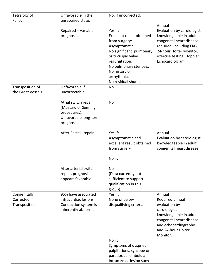| Tetralogy of      | Unfavorable in the     | No, if uncorrected.                |                                            |
|-------------------|------------------------|------------------------------------|--------------------------------------------|
| Fallot            | unrepaired state.      |                                    |                                            |
|                   |                        |                                    | Annual                                     |
|                   | Repaired = variable    | Yes if:                            | Evaluation by cardiologist                 |
|                   | prognosis.             | Excellent result obtained          | knowledgeable in adult                     |
|                   |                        | from surgery;                      | congenital heart disease                   |
|                   |                        | Asymptomatic;                      | required, including EKG,                   |
|                   |                        | No significant pulmonary           | 24-hour Holter Monitor,                    |
|                   |                        | or tricuspid valve                 | exercise testing, Doppler                  |
|                   |                        | regurgitation;                     | Echocardiogram.                            |
|                   |                        | No pulmonary stenosis;             |                                            |
|                   |                        | No history of                      |                                            |
|                   |                        | arrhythmias;<br>No residual shunt. |                                            |
| Transposition of  | Unfavorable if         | No                                 |                                            |
| the Great Vessels | uncorrectable.         |                                    |                                            |
|                   |                        |                                    |                                            |
|                   | Atrial switch repair   | <b>No</b>                          |                                            |
|                   | (Mustard or Senning    |                                    |                                            |
|                   | procedures).           |                                    |                                            |
|                   | Unfavorable long-term  |                                    |                                            |
|                   | prognosis.             |                                    |                                            |
|                   |                        |                                    |                                            |
|                   | After Rastelli repair. | Yes if:                            | Annual                                     |
|                   |                        | Asymptomatic and                   | Evaluation by cardiologist                 |
|                   |                        | excellent result obtained          | knowledgeable in adult                     |
|                   |                        | from surgery                       | congenital heart disease.                  |
|                   |                        | No if:                             |                                            |
|                   |                        |                                    |                                            |
|                   | After arterial switch  | No                                 |                                            |
|                   | repair, prognosis      | (Data currently not                |                                            |
|                   | appears favorable.     | sufficient to support              |                                            |
|                   |                        | qualification in this              |                                            |
|                   |                        | group).                            |                                            |
| Congenitally      | 95% have associated    | Yes if:                            | Annual                                     |
| Corrected         | intracardiac lesions.  | None of below                      | Required annual                            |
| Transposition     | Conduction system is   | disqualifying criteria.            | evaluation by                              |
|                   | inherently abnormal.   |                                    | cardiologist                               |
|                   |                        |                                    | knowledgeable in adult                     |
|                   |                        |                                    | congenital heart disease                   |
|                   |                        |                                    | and echocardiography<br>and 24-hour Holter |
|                   |                        |                                    | Monitor.                                   |
|                   |                        | No if:                             |                                            |
|                   |                        | Symptoms of dyspnea,               |                                            |
|                   |                        | palpitations, syncope or           |                                            |
|                   |                        | paradoxical embolus;               |                                            |
|                   |                        | Intracardiac lesion such           |                                            |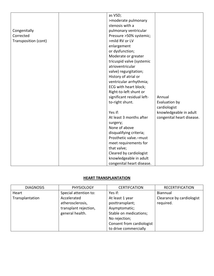|                      | as VSD;                    |                           |
|----------------------|----------------------------|---------------------------|
|                      | >moderate pulmonary        |                           |
|                      | stenosis with a            |                           |
| Congenitally         | pulmonary ventricular      |                           |
| Corrected            | Pressure >50% systemic;    |                           |
| Transposition (cont) | >mild RV or LV             |                           |
|                      | enlargement                |                           |
|                      | or dysfunction;            |                           |
|                      | Moderate or greater        |                           |
|                      | tricuspid valve (systemic  |                           |
|                      | atrioventricular           |                           |
|                      | valve) regurgitation;      |                           |
|                      | History of atrial or       |                           |
|                      | ventricular arrhythmia;    |                           |
|                      | ECG with heart block;      |                           |
|                      | Right-to-left shunt or     |                           |
|                      | significant residual left- | Annual                    |
|                      | to-right shunt.            | Evaluation by             |
|                      |                            | cardiologist              |
|                      | Yes if:                    | knowledgeable in adult    |
|                      | At least 3 months after    | congenital heart disease. |
|                      | surgery;                   |                           |
|                      | None of above              |                           |
|                      | disqualifying criteria;    |                           |
|                      | Prosthetic valve.-must     |                           |
|                      | meet requirements for      |                           |
|                      | that valve;                |                           |
|                      | Cleared by cardiologist    |                           |
|                      | knowledgeable in adult     |                           |
|                      | congenital heart disease.  |                           |

# <span id="page-21-0"></span>**HEART TRANSPLANTATION**

| <b>DIAGNOSIS</b> | <b>PHYSIOLOGY</b>     | <b>CERTIFCATION</b>       | <b>RECERTIFICATION</b>    |
|------------------|-----------------------|---------------------------|---------------------------|
| Heart            | Special attention to: | Yes if:                   | <b>Biannual</b>           |
| Transplantation  | Accelerated           | At least 1 year           | Clearance by cardiologist |
|                  | atherosclerosis,      | posttransplant;           | required.                 |
|                  | transplant rejection, | Asymptomatic;             |                           |
|                  | general health.       | Stable on medications;    |                           |
|                  |                       | No rejection;             |                           |
|                  |                       | Consent from cardiologist |                           |
|                  |                       | to drive commercially     |                           |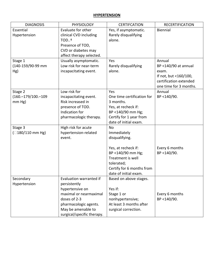#### <span id="page-22-0"></span>**HYPERTENSION**

| <b>DIAGNOSIS</b>          | <b>PHYSIOLOGY</b>                      | <b>CERTIFCATION</b>        | <b>RECERTIFICATION</b> |
|---------------------------|----------------------------------------|----------------------------|------------------------|
| Essential                 | Evaluate for other                     | Yes, if asymptomatic.      | Biennial               |
| Hypertension              | clinical CVD including                 | Rarely disqualifying       |                        |
|                           | TOD <sup>+</sup>                       | alone.                     |                        |
|                           | Presence of TOD,                       |                            |                        |
|                           | CVD or diabetes may                    |                            |                        |
|                           | affect therapy selected.               |                            |                        |
| Stage 1                   | Usually asymptomatic.                  | Yes                        | Annual                 |
| (140-159/90-99 mm         | Low risk for near-term                 | Rarely disqualifying       | BP <140/90 at annual   |
| Hg)                       | incapacitating event.                  | alone.                     | exam.                  |
|                           |                                        |                            | If not, but <160/100,  |
|                           |                                        |                            | certification extended |
|                           |                                        |                            | one time for 3 months. |
| Stage 2                   | Low risk for                           | Yes                        | Annual                 |
| $(160. - 179/100. - 109)$ | incapacitating event.                  | One time certification for | BP <140/90.            |
| $mm Hg$ )                 | Risk increased in                      | 3 months.                  |                        |
|                           | presence of TOD.                       | Yes, at recheck if:        |                        |
|                           | Indication for                         | BP <140/90 mm Hg;          |                        |
|                           | pharmacologic therapy.                 | Certify for 1 year from    |                        |
|                           |                                        | date of initial exam.      |                        |
| Stage 3                   | High risk for acute                    | <b>No</b>                  |                        |
| $($ 180/110 mm Hg)        | hypertension-related                   | Immediately                |                        |
|                           | event.                                 | disqualifying.             |                        |
|                           |                                        |                            |                        |
|                           |                                        | Yes, at recheck if:        | Every 6 months         |
|                           |                                        | BP <140/90 mm Hg;          | BP <140/90.            |
|                           |                                        | Treatment is well          |                        |
|                           |                                        | tolerated;                 |                        |
|                           |                                        | Certify for 6 months from  |                        |
|                           |                                        | date of initial exam.      |                        |
| Secondary                 | Evaluation warranted if                | Based on above stages.     |                        |
| Hypertension              | persistently                           |                            |                        |
|                           | hypertensive on                        | Yes if:                    |                        |
|                           | maximal or nearmaximal<br>doses of 2-3 | Stage 1 or                 | Every 6 months         |
|                           |                                        | nonhypertensive;           | BP <140/90.            |
|                           | pharmacologic agents.                  | At least 3 months after    |                        |
|                           | May be amenable to                     | surgical correction.       |                        |
|                           | surgical/specific therapy.             |                            |                        |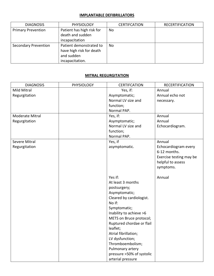### <span id="page-23-0"></span>**IMPLANTABLE DEFIBRILLATORS**

| <b>DIAGNOSIS</b>            | <b>PHYSIOLOGY</b>                                                                    | <b>CERTIFCATION</b> | <b>RECERTIFICATION</b> |
|-----------------------------|--------------------------------------------------------------------------------------|---------------------|------------------------|
| <b>Primary Prevention</b>   | Patient has high risk for<br>death and sudden<br>incapacitation                      | <b>No</b>           |                        |
| <b>Secondary Prevention</b> | Patient demonstrated to<br>have high risk for death<br>and sudden<br>incapacitation. | No.                 |                        |

# <span id="page-23-1"></span>**MITRAL REGURGITATION**

| <b>DIAGNOSIS</b>     | <b>PHYSIOLOGY</b> | <b>CERTIFCATION</b>       | <b>RECERTIFICATION</b>  |
|----------------------|-------------------|---------------------------|-------------------------|
| Mild Mitral          |                   | Yes, if:                  | Annual                  |
| Regurgitation        |                   | Asymptomatic;             | Annual echo not         |
|                      |                   | Normal LV size and        | necessary.              |
|                      |                   | function;                 |                         |
|                      |                   | Normal PAP.               |                         |
| Moderate Mitral      |                   | Yes, if:                  | Annual                  |
| Regurgitation        |                   | Asymptomatic;             | Annual                  |
|                      |                   | Normal LV size and        | Echocardiogram.         |
|                      |                   | function;                 |                         |
|                      |                   | Normal PAP.               |                         |
| <b>Severe Mitral</b> |                   | Yes, if                   | Annual                  |
| Regurgitation        |                   | asymptomatic.             | Echocardiogram every    |
|                      |                   |                           | 6-12 months.            |
|                      |                   |                           | Exercise testing may be |
|                      |                   |                           | helpful to assess       |
|                      |                   |                           | symptoms.               |
|                      |                   |                           |                         |
|                      |                   | Yes if:                   | Annual                  |
|                      |                   | At least 3 months         |                         |
|                      |                   | postsurgery;              |                         |
|                      |                   | Asymptomatic;             |                         |
|                      |                   | Cleared by cardiologist.  |                         |
|                      |                   | No if:                    |                         |
|                      |                   | Symptomatic;              |                         |
|                      |                   | Inability to achieve >6   |                         |
|                      |                   | METS on Bruce protocol;   |                         |
|                      |                   | Ruptured chordae or flail |                         |
|                      |                   | leaflet;                  |                         |
|                      |                   | Atrial fibrillation;      |                         |
|                      |                   | LV dysfunction;           |                         |
|                      |                   | Thromboembolism;          |                         |
|                      |                   | Pulmonary artery          |                         |
|                      |                   | pressure >50% of systolic |                         |
|                      |                   | arterial pressure         |                         |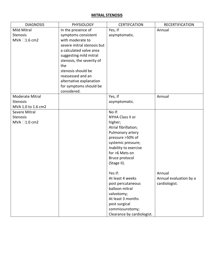#### <span id="page-24-0"></span>**MITRAL STENOSIS**

| <b>DIAGNOSIS</b>     | <b>PHYSIOLOGY</b>          | <b>CERTIFCATION</b>        | <b>RECERTIFICATION</b> |
|----------------------|----------------------------|----------------------------|------------------------|
| Mild Mitral          | In the presence of         | Yes, if                    | Annual                 |
| <b>Stenosis</b>      | symptoms consistent        | asymptomatic.              |                        |
| MVA $\Box$ 1.6 cm2   | with moderate to           |                            |                        |
|                      | severe mitral stenosis but |                            |                        |
|                      | a calculated valve area    |                            |                        |
|                      | suggesting mild mitral     |                            |                        |
|                      | stenosis, the severity of  |                            |                        |
|                      | the                        |                            |                        |
|                      | stenosis should be         |                            |                        |
|                      | reassessed and an          |                            |                        |
|                      | alternative explanation    |                            |                        |
|                      | for symptoms should be     |                            |                        |
|                      | considered.                |                            |                        |
| Moderate Mitral      |                            | Yes, if                    | Annual                 |
| <b>Stenosis</b>      |                            | asymptomatic.              |                        |
| MVA 1.0 to 1.6 cm2   |                            |                            |                        |
| <b>Severe Mitral</b> |                            | No if:                     |                        |
| <b>Stenosis</b>      |                            | NYHA Class II or           |                        |
| MVA □1.0 cm2         |                            | higher;                    |                        |
|                      |                            | Atrial fibrillation;       |                        |
|                      |                            | Pulmonary artery           |                        |
|                      |                            | pressure >50% of           |                        |
|                      |                            | systemic pressure;         |                        |
|                      |                            | Inability to exercise      |                        |
|                      |                            | for >6 Mets on             |                        |
|                      |                            | Bruce protocol             |                        |
|                      |                            | (Stage II).                |                        |
|                      |                            |                            |                        |
|                      |                            | Yes if:                    | Annual                 |
|                      |                            | At least 4 weeks           | Annual evaluation by a |
|                      |                            | post percutaneous          | cardiologist.          |
|                      |                            | balloon mitral             |                        |
|                      |                            | valvotomy;                 |                        |
|                      |                            | At least 3 months          |                        |
|                      |                            | post surgical              |                        |
|                      |                            | commissurotomy;            |                        |
|                      |                            | Clearance by cardiologist. |                        |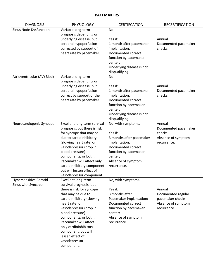#### <span id="page-25-0"></span>**PACEMAKERS**

| <b>DIAGNOSIS</b>              | <b>PHYSIOLOGY</b>                                  | <b>CERTIFCATION</b>           | <b>RECERTIFICATION</b> |
|-------------------------------|----------------------------------------------------|-------------------------------|------------------------|
| Sinus Node Dysfunction        | Variable long-term                                 | No                            |                        |
|                               | prognosis depending on                             |                               |                        |
|                               | underlying disease, but                            | Yes if:                       | Annual                 |
|                               | cerebral hypoperfusion                             | 1 month after pacemaker       | Documented pacemaker   |
|                               | corrected by support of                            | implantation;                 | checks.                |
|                               | heart rate by pacemaker.                           | Documented correct            |                        |
|                               |                                                    | function by pacemaker         |                        |
|                               |                                                    | center;                       |                        |
|                               |                                                    | Underlying disease is not     |                        |
| Atrioventricular (AV) Block   | Variable long-term                                 | disqualifying.<br><b>No</b>   |                        |
|                               | prognosis depending on                             |                               |                        |
|                               | underlying disease, but                            | Yes if:                       | Annual                 |
|                               | cerebral hypoperfusion                             | 1 month after pacemaker       | Documented pacemaker   |
|                               | correct by support of the                          | implantation;                 | checks.                |
|                               | heart rate by pacemaker.                           | Documented correct            |                        |
|                               |                                                    | function by pacemaker         |                        |
|                               |                                                    | center;                       |                        |
|                               |                                                    | Underlying disease is not     |                        |
|                               |                                                    | disqualifying                 |                        |
| Neurocardiogenic Syncope      | Excellent long-term survival                       | No, with symptoms.            | Annual                 |
|                               | prognosis, but there is risk                       |                               | Documented pacemaker   |
|                               | for syncope that may be                            | Yes if:                       | checks.                |
|                               | due to cardioinhibitory                            | 3 months after pacemaker      | Absence of symptom     |
|                               | (slowing heart rate) or                            | implantation;                 | recurrence.            |
|                               | vasodepressor (drop in                             | Documented correct            |                        |
|                               | blood pressure)                                    | function by pacemaker         |                        |
|                               | components, or both.<br>Pacemaker will affect only | center;<br>Absence of symptom |                        |
|                               | cardioinhibitory component                         | recurrence.                   |                        |
|                               | but will lessen effect of                          |                               |                        |
|                               | vasodepressor component.                           |                               |                        |
| <b>Hypersensitive Carotid</b> | Excellent long-term                                | No, with symptoms.            |                        |
| Sinus with Syncope            | survival prognosis, but                            |                               |                        |
|                               | there is risk for syncope                          | Yes if:                       | Annual                 |
|                               | that may be due to                                 | 3 months after                | Documented regular     |
|                               | cardioinhibitory (slowing                          | Pacemaker implantation;       | pacemaker checks.      |
|                               | heart rate) or                                     | Documented correct            | Absence of symptom     |
|                               | vasodepressor (drop in                             | function by pacemaker         | recurrence.            |
|                               | blood pressure)                                    | center;                       |                        |
|                               | components, or both.                               | Absence of symptom            |                        |
|                               | Pacemaker will affect                              | recurrence.                   |                        |
|                               | only cardioinhibitory                              |                               |                        |
|                               | component, but will<br>lessen effect of            |                               |                        |
|                               | vasodepressor                                      |                               |                        |
|                               | component.                                         |                               |                        |
|                               |                                                    |                               |                        |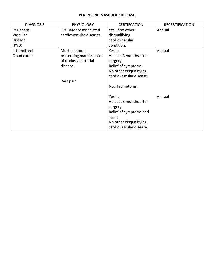## <span id="page-26-0"></span>**PERIPHERAL VASCULAR DISEASE**

| <b>DIAGNOSIS</b> | <b>PHYSIOLOGY</b>        | <b>CERTIFCATION</b>     | <b>RECERTIFICATION</b> |
|------------------|--------------------------|-------------------------|------------------------|
| Peripheral       | Evaluate for associated  | Yes, if no other        | Annual                 |
| Vascular         | cardiovascular diseases. | disqualifying           |                        |
| <b>Disease</b>   |                          | cardiovascular          |                        |
| (PVD)            |                          | condition.              |                        |
| Intermittent     | Most common              | Yes if:                 | Annual                 |
| Claudication     | presenting manifestation | At least 3 months after |                        |
|                  | of occlusive arterial    | surgery;                |                        |
|                  | disease.                 | Relief of symptoms;     |                        |
|                  |                          | No other disqualifying  |                        |
|                  |                          | cardiovascular disease. |                        |
|                  | Rest pain.               |                         |                        |
|                  |                          | No, if symptoms.        |                        |
|                  |                          |                         |                        |
|                  |                          | Yes if:                 | Annual                 |
|                  |                          | At least 3 months after |                        |
|                  |                          | surgery;                |                        |
|                  |                          | Relief of symptoms and  |                        |
|                  |                          | signs;                  |                        |
|                  |                          | No other disqualifying  |                        |
|                  |                          | cardiovascular disease. |                        |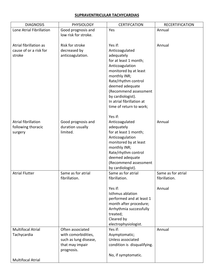## <span id="page-27-0"></span>**SUPRAVENTRICULAR TACHYCARDIAS**

| <b>DIAGNOSIS</b>                                 | PHYSIOLOGY                       | <b>CERTIFCATION</b>                        | <b>RECERTIFICATION</b> |
|--------------------------------------------------|----------------------------------|--------------------------------------------|------------------------|
| Lone Atrial Fibrillation                         | Good prognosis and               | Yes                                        | Annual                 |
|                                                  | low risk for stroke.             |                                            |                        |
|                                                  |                                  |                                            |                        |
| Atrial fibrillation as<br>cause of or a risk for | Risk for stroke                  | Yes if:                                    | Annual                 |
| stroke                                           | decreased by<br>anticoagulation. | Anticoagulated<br>adequately               |                        |
|                                                  |                                  | for at least 1 month;                      |                        |
|                                                  |                                  | Anticoagulation                            |                        |
|                                                  |                                  | monitored by at least                      |                        |
|                                                  |                                  | monthly INR;                               |                        |
|                                                  |                                  | Rate/rhythm control                        |                        |
|                                                  |                                  | deemed adequate                            |                        |
|                                                  |                                  | (Recommend assessment                      |                        |
|                                                  |                                  | by cardiologist).                          |                        |
|                                                  |                                  | In atrial fibrillation at                  |                        |
|                                                  |                                  | time of return to work;                    |                        |
|                                                  |                                  | Yes if:                                    |                        |
| Atrial fibrillation                              | Good prognosis and               | Anticoagulated                             | Annual                 |
| following thoracic                               | duration usually                 | adequately                                 |                        |
| surgery                                          | limited.                         | for at least 1 month;                      |                        |
|                                                  |                                  | Anticoagulation                            |                        |
|                                                  |                                  | monitored by at least                      |                        |
|                                                  |                                  | monthly INR;                               |                        |
|                                                  |                                  | Rate/rhythm control                        |                        |
|                                                  |                                  | deemed adequate                            |                        |
|                                                  |                                  | (Recommend assessment<br>by cardiologist). |                        |
| <b>Atrial Flutter</b>                            | Same as for atrial               | Same as for atrial                         | Same as for atrial     |
|                                                  | fibrillation.                    | fibrillation.                              | fibrillation.          |
|                                                  |                                  |                                            |                        |
|                                                  |                                  | Yes if:                                    | Annual                 |
|                                                  |                                  | Isthmus ablation                           |                        |
|                                                  |                                  | performed and at least 1                   |                        |
|                                                  |                                  | month after procedure;                     |                        |
|                                                  |                                  | Arrhythmia successfully                    |                        |
|                                                  |                                  | treated;                                   |                        |
|                                                  |                                  | Cleared by<br>electrophysiologist.         |                        |
| <b>Multifocal Atrial</b>                         | Often associated                 | Yes if:                                    | Annual                 |
| Tachycardia                                      | with comorbidities,              | Asymptomatic;                              |                        |
|                                                  | such as lung disease,            | Unless associated                          |                        |
|                                                  | that may impair                  | condition is disqualifying.                |                        |
|                                                  | prognosis.                       |                                            |                        |
|                                                  |                                  | No, if symptomatic.                        |                        |
| <b>Multifocal Atrial</b>                         |                                  |                                            |                        |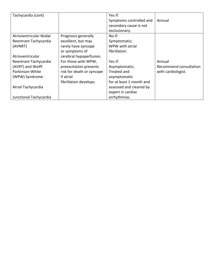| Tachycardia (cont)     |                           | Yes if:                  |                        |
|------------------------|---------------------------|--------------------------|------------------------|
|                        |                           | Symptoms controlled and  | Annual                 |
|                        |                           | secondary cause is not   |                        |
|                        |                           | exclusionary.            |                        |
| Atrioventricular Nodal | Prognosis generally       | No if:                   |                        |
| Reentrant Tachycardia  | excellent, but may        | Symptomatic;             |                        |
| (AVNRT)                | rarely have syncope       | WPW with atrial          |                        |
|                        | or symptoms of            | fibrillation.            |                        |
| Atrioventricular       | cerebral hypoperfusion.   |                          |                        |
| Reentrant Tachycardia  | For those with WPW,       | Yes if:                  | Annual                 |
| (AVRT) and Wolff-      | preexcitation presents    | Asymptomatic;            | Recommend consultation |
| Parkinson-White        | risk for death or syncope | Treated and              | with cardiologist.     |
| (WPW) Syndrome         | if atrial                 | asymptomatic             |                        |
|                        | fibrillation develops.    | for at least 1 month and |                        |
| Atrial Tachycardia     |                           | assessed and cleared by  |                        |
|                        |                           | expert in cardiac        |                        |
| Junctional Tachycardia |                           | arrhythmias.             |                        |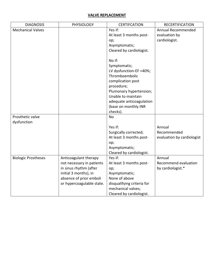#### <span id="page-29-0"></span>**VALVE REPLACEMENT**

| <b>DIAGNOSIS</b>           | <b>PHYSIOLOGY</b>         | <b>CERTIFCATION</b>        | <b>RECERTIFICATION</b>     |
|----------------------------|---------------------------|----------------------------|----------------------------|
| <b>Mechanical Valves</b>   |                           | Yes if:                    | Annual Recommended         |
|                            |                           | At least 3 months post-    | evaluation by              |
|                            |                           | op;                        | cardiologist.              |
|                            |                           | Asymptomatic;              |                            |
|                            |                           | Cleared by cardiologist.   |                            |
|                            |                           |                            |                            |
|                            |                           | No if:                     |                            |
|                            |                           | Symptomatic;               |                            |
|                            |                           | LV dysfunction-EF <40%;    |                            |
|                            |                           | Thromboembolic             |                            |
|                            |                           | complication post          |                            |
|                            |                           | procedure;                 |                            |
|                            |                           | Plumonary hypertension;    |                            |
|                            |                           | Unable to maintain         |                            |
|                            |                           | adequate anticoagulation   |                            |
|                            |                           | (base on monthly INR       |                            |
|                            |                           | checks).                   |                            |
| Prosthetic valve           |                           | <b>No</b>                  |                            |
| dysfunction                |                           |                            |                            |
|                            |                           | Yes if:                    | Annual                     |
|                            |                           | Surgically corrected;      | Recommended                |
|                            |                           | At least 3 months post-    | evaluation by cardiologist |
|                            |                           | op;                        |                            |
|                            |                           | Asymptomatic;              |                            |
|                            |                           | Cleared by cardiologist.   |                            |
| <b>Biologic Prostheses</b> | Anticoagulant therapy     | Yes if:                    | Annual                     |
|                            | not necessary in patients | At least 3 months post-    | Recommend evaluation       |
|                            | in sinus rhythm (after    | op;                        | by cardiologist.*          |
|                            | initial 3 months), in     | Asymptomatic;              |                            |
|                            | absence of prior emboli   | None of above              |                            |
|                            | or hypercoagulable state. | disqualifying criteria for |                            |
|                            |                           | mechanical valves;         |                            |
|                            |                           | Cleared by cardiologist.   |                            |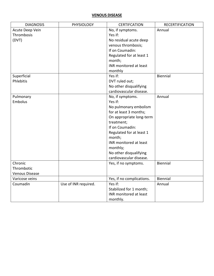## <span id="page-30-0"></span>**VENOUS DISEASE**

| <b>DIAGNOSIS</b>      | <b>PHYSIOLOGY</b>    | <b>CERTIFCATION</b>       | <b>RECERTIFICATION</b> |
|-----------------------|----------------------|---------------------------|------------------------|
| Acute Deep Vein       |                      | No, if symptoms.          | Annual                 |
| Thrombosis            |                      | Yes if:                   |                        |
| (DVT)                 |                      | No residual acute deep    |                        |
|                       |                      | venous thrombosis;        |                        |
|                       |                      | If on Coumadin:           |                        |
|                       |                      | Regulated for at least 1  |                        |
|                       |                      | month;                    |                        |
|                       |                      | INR monitored at least    |                        |
|                       |                      | monthly                   |                        |
| Superficial           |                      | Yes if:                   | Biennial               |
| Phlebitis             |                      | DVT ruled out;            |                        |
|                       |                      | No other disqualifying    |                        |
|                       |                      | cardiovascular disease.   |                        |
| Pulmonary             |                      | No, if symptoms.          | Annual                 |
| Embolus               |                      | Yes if:                   |                        |
|                       |                      | No pulmonary embolism     |                        |
|                       |                      | for at least 3 months;    |                        |
|                       |                      | On appropriate long-term  |                        |
|                       |                      | treatment;                |                        |
|                       |                      | If on Coumadin:           |                        |
|                       |                      | Regulated for at least 1  |                        |
|                       |                      | month;                    |                        |
|                       |                      | INR monitored at least    |                        |
|                       |                      | monthly;                  |                        |
|                       |                      | No other disqualifying    |                        |
|                       |                      | cardiovascular disease.   |                        |
| Chronic               |                      | Yes, if no symptoms.      | Biennial               |
| Thrombotic            |                      |                           |                        |
| <b>Venous Disease</b> |                      |                           |                        |
| Varicose veins        |                      | Yes, if no complications. | Biennial               |
| Coumadin              | Use of INR required. | Yes if:                   | Annual                 |
|                       |                      | Stabilized for 1 month;   |                        |
|                       |                      | INR monitored at least    |                        |
|                       |                      | monthly.                  |                        |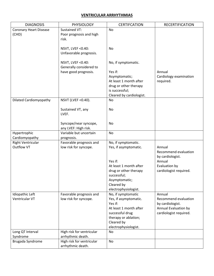#### <span id="page-31-0"></span>**VENTRICULAR ARRHYTHMIAS**

| <b>DIAGNOSIS</b>              | <b>PHYSIOLOGY</b>           | <b>CERTIFCATION</b>      | <b>RECERTIFICATION</b> |
|-------------------------------|-----------------------------|--------------------------|------------------------|
| <b>Coronary Heart Disease</b> | <b>Sustained VT:</b>        | <b>No</b>                |                        |
| (CHD)                         | Poor prognosis and high     |                          |                        |
|                               | risk.                       |                          |                        |
|                               |                             |                          |                        |
|                               | NSVT, LVEF < 0.40:          | No                       |                        |
|                               | Unfavorable prognosis.      |                          |                        |
|                               |                             |                          |                        |
|                               | <b>NSVT, LVEF &lt;0.40:</b> | No, if symptomatic.      |                        |
|                               | Generally considered to     |                          |                        |
|                               | have good prognosis.        | Yes if:                  | Annual                 |
|                               |                             | Asymptomatic;            | Cardiology examination |
|                               |                             | At least 1 month after   | required.              |
|                               |                             | drug or other therapy    |                        |
|                               |                             | is successful;           |                        |
|                               |                             | Cleared by cardiologist. |                        |
| <b>Dilated Cardiomyopathy</b> | NSVT (LVEF < 0.40).         | No                       |                        |
|                               |                             | No                       |                        |
|                               | Sustained VT, any<br>LVEF.  |                          |                        |
|                               |                             |                          |                        |
|                               | Syncope/near syncope,       | No                       |                        |
|                               | any LVEF: High risk.        |                          |                        |
| Hypertrophic                  | Variable but uncertain      | <b>No</b>                |                        |
| Cardiomyopathy                | prognosis.                  |                          |                        |
| <b>Right Ventricular</b>      | Favorable prognosis and     | No, if symptomatic.      |                        |
| Outflow VT                    | low risk for syncope.       | Yes, if asymptomatic.    | Annual                 |
|                               |                             |                          | Recommend evaluation   |
|                               |                             |                          | by cardiologist.       |
|                               |                             | Yes if:                  | Annual                 |
|                               |                             | At least 1 month after   | Evaluation by          |
|                               |                             | drug or other therapy    | cardiologist required. |
|                               |                             | successful;              |                        |
|                               |                             | Asymptomatic;            |                        |
|                               |                             | Cleared by               |                        |
|                               |                             | electrophysiologist.     |                        |
| Idiopathic Left               | Favorable prognosis and     | No, if symptomatic       | Annual                 |
| Ventricular VT                | low risk for syncope.       | Yes, if asymptomatic.    | Recommend evaluation   |
|                               |                             | Yes if:                  | by cardiologist.       |
|                               |                             | At least 1 month after   | Annual Evaluation by   |
|                               |                             | successful drug          | cardiologist required. |
|                               |                             | therapy or ablation;     |                        |
|                               |                             | Cleared by               |                        |
|                               |                             | electrophysiologist.     |                        |
| Long QT Interval              | High risk for ventricular   | No                       |                        |
| Syndrome                      | arrhythmic death.           |                          |                        |
| Brugada Syndrome              | High risk for ventricular   | <b>No</b>                |                        |
|                               | arrhythmic death.           |                          |                        |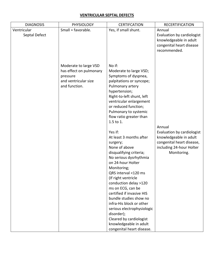## <span id="page-32-0"></span>**VENTRICULAR SEPTAL DEFECTS**

| Yes, if small shunt.<br>Ventricular<br>Small = favorable.<br>Annual<br>Septal Defect<br>Evaluation by cardiologist<br>knowledgeable in adult<br>congenital heart disease<br>recommended.<br>No if:<br>Moderate to large VSD<br>has effect on pulmonary<br>Moderate to large VSD;<br>Symptoms of dyspnea,<br>pressure<br>and ventricular size<br>palpitations or syncope;<br>and function.<br>Pulmonary artery<br>hypertension;<br>Right-to-left shunt, left<br>ventricular enlargement<br>or reduced function;<br>Pulmonary to systemic<br>flow ratio greater than<br>1.5 to 1.<br>Annual<br>Yes if:<br>Evaluation by cardiologist<br>knowledgeable in adult<br>At least 3 months after<br>congenital heart disease,<br>surgery;<br>None of above<br>including 24-hour Holter<br>disqualifying criteria;<br>Monitoring.<br>No serious dysrhythmia<br>on 24-hour Holter<br>Monitoring;<br>QRS interval <120 ms<br>(If right ventricle<br>conduction delay >120<br>ms on ECG, can be<br>certified if invasive HIS<br>bundle studies show no<br>infra-His block or other<br>serious electrophysiologic<br>disorder);<br>Cleared by cardiologist<br>knowledgeable in adult | <b>DIAGNOSIS</b> | <b>PHYSIOLOGY</b> | <b>CERTIFCATION</b>       | <b>RECERTIFICATION</b> |
|------------------------------------------------------------------------------------------------------------------------------------------------------------------------------------------------------------------------------------------------------------------------------------------------------------------------------------------------------------------------------------------------------------------------------------------------------------------------------------------------------------------------------------------------------------------------------------------------------------------------------------------------------------------------------------------------------------------------------------------------------------------------------------------------------------------------------------------------------------------------------------------------------------------------------------------------------------------------------------------------------------------------------------------------------------------------------------------------------------------------------------------------------------------------|------------------|-------------------|---------------------------|------------------------|
|                                                                                                                                                                                                                                                                                                                                                                                                                                                                                                                                                                                                                                                                                                                                                                                                                                                                                                                                                                                                                                                                                                                                                                        |                  |                   |                           |                        |
|                                                                                                                                                                                                                                                                                                                                                                                                                                                                                                                                                                                                                                                                                                                                                                                                                                                                                                                                                                                                                                                                                                                                                                        |                  |                   |                           |                        |
|                                                                                                                                                                                                                                                                                                                                                                                                                                                                                                                                                                                                                                                                                                                                                                                                                                                                                                                                                                                                                                                                                                                                                                        |                  |                   |                           |                        |
|                                                                                                                                                                                                                                                                                                                                                                                                                                                                                                                                                                                                                                                                                                                                                                                                                                                                                                                                                                                                                                                                                                                                                                        |                  |                   |                           |                        |
|                                                                                                                                                                                                                                                                                                                                                                                                                                                                                                                                                                                                                                                                                                                                                                                                                                                                                                                                                                                                                                                                                                                                                                        |                  |                   |                           |                        |
|                                                                                                                                                                                                                                                                                                                                                                                                                                                                                                                                                                                                                                                                                                                                                                                                                                                                                                                                                                                                                                                                                                                                                                        |                  |                   |                           |                        |
|                                                                                                                                                                                                                                                                                                                                                                                                                                                                                                                                                                                                                                                                                                                                                                                                                                                                                                                                                                                                                                                                                                                                                                        |                  |                   |                           |                        |
|                                                                                                                                                                                                                                                                                                                                                                                                                                                                                                                                                                                                                                                                                                                                                                                                                                                                                                                                                                                                                                                                                                                                                                        |                  |                   |                           |                        |
|                                                                                                                                                                                                                                                                                                                                                                                                                                                                                                                                                                                                                                                                                                                                                                                                                                                                                                                                                                                                                                                                                                                                                                        |                  |                   |                           |                        |
|                                                                                                                                                                                                                                                                                                                                                                                                                                                                                                                                                                                                                                                                                                                                                                                                                                                                                                                                                                                                                                                                                                                                                                        |                  |                   |                           |                        |
|                                                                                                                                                                                                                                                                                                                                                                                                                                                                                                                                                                                                                                                                                                                                                                                                                                                                                                                                                                                                                                                                                                                                                                        |                  |                   |                           |                        |
|                                                                                                                                                                                                                                                                                                                                                                                                                                                                                                                                                                                                                                                                                                                                                                                                                                                                                                                                                                                                                                                                                                                                                                        |                  |                   |                           |                        |
|                                                                                                                                                                                                                                                                                                                                                                                                                                                                                                                                                                                                                                                                                                                                                                                                                                                                                                                                                                                                                                                                                                                                                                        |                  |                   |                           |                        |
|                                                                                                                                                                                                                                                                                                                                                                                                                                                                                                                                                                                                                                                                                                                                                                                                                                                                                                                                                                                                                                                                                                                                                                        |                  |                   |                           |                        |
|                                                                                                                                                                                                                                                                                                                                                                                                                                                                                                                                                                                                                                                                                                                                                                                                                                                                                                                                                                                                                                                                                                                                                                        |                  |                   |                           |                        |
|                                                                                                                                                                                                                                                                                                                                                                                                                                                                                                                                                                                                                                                                                                                                                                                                                                                                                                                                                                                                                                                                                                                                                                        |                  |                   |                           |                        |
|                                                                                                                                                                                                                                                                                                                                                                                                                                                                                                                                                                                                                                                                                                                                                                                                                                                                                                                                                                                                                                                                                                                                                                        |                  |                   |                           |                        |
|                                                                                                                                                                                                                                                                                                                                                                                                                                                                                                                                                                                                                                                                                                                                                                                                                                                                                                                                                                                                                                                                                                                                                                        |                  |                   |                           |                        |
|                                                                                                                                                                                                                                                                                                                                                                                                                                                                                                                                                                                                                                                                                                                                                                                                                                                                                                                                                                                                                                                                                                                                                                        |                  |                   |                           |                        |
|                                                                                                                                                                                                                                                                                                                                                                                                                                                                                                                                                                                                                                                                                                                                                                                                                                                                                                                                                                                                                                                                                                                                                                        |                  |                   |                           |                        |
|                                                                                                                                                                                                                                                                                                                                                                                                                                                                                                                                                                                                                                                                                                                                                                                                                                                                                                                                                                                                                                                                                                                                                                        |                  |                   |                           |                        |
|                                                                                                                                                                                                                                                                                                                                                                                                                                                                                                                                                                                                                                                                                                                                                                                                                                                                                                                                                                                                                                                                                                                                                                        |                  |                   |                           |                        |
|                                                                                                                                                                                                                                                                                                                                                                                                                                                                                                                                                                                                                                                                                                                                                                                                                                                                                                                                                                                                                                                                                                                                                                        |                  |                   |                           |                        |
|                                                                                                                                                                                                                                                                                                                                                                                                                                                                                                                                                                                                                                                                                                                                                                                                                                                                                                                                                                                                                                                                                                                                                                        |                  |                   |                           |                        |
|                                                                                                                                                                                                                                                                                                                                                                                                                                                                                                                                                                                                                                                                                                                                                                                                                                                                                                                                                                                                                                                                                                                                                                        |                  |                   |                           |                        |
|                                                                                                                                                                                                                                                                                                                                                                                                                                                                                                                                                                                                                                                                                                                                                                                                                                                                                                                                                                                                                                                                                                                                                                        |                  |                   |                           |                        |
|                                                                                                                                                                                                                                                                                                                                                                                                                                                                                                                                                                                                                                                                                                                                                                                                                                                                                                                                                                                                                                                                                                                                                                        |                  |                   |                           |                        |
|                                                                                                                                                                                                                                                                                                                                                                                                                                                                                                                                                                                                                                                                                                                                                                                                                                                                                                                                                                                                                                                                                                                                                                        |                  |                   |                           |                        |
|                                                                                                                                                                                                                                                                                                                                                                                                                                                                                                                                                                                                                                                                                                                                                                                                                                                                                                                                                                                                                                                                                                                                                                        |                  |                   |                           |                        |
|                                                                                                                                                                                                                                                                                                                                                                                                                                                                                                                                                                                                                                                                                                                                                                                                                                                                                                                                                                                                                                                                                                                                                                        |                  |                   |                           |                        |
|                                                                                                                                                                                                                                                                                                                                                                                                                                                                                                                                                                                                                                                                                                                                                                                                                                                                                                                                                                                                                                                                                                                                                                        |                  |                   |                           |                        |
|                                                                                                                                                                                                                                                                                                                                                                                                                                                                                                                                                                                                                                                                                                                                                                                                                                                                                                                                                                                                                                                                                                                                                                        |                  |                   |                           |                        |
|                                                                                                                                                                                                                                                                                                                                                                                                                                                                                                                                                                                                                                                                                                                                                                                                                                                                                                                                                                                                                                                                                                                                                                        |                  |                   |                           |                        |
|                                                                                                                                                                                                                                                                                                                                                                                                                                                                                                                                                                                                                                                                                                                                                                                                                                                                                                                                                                                                                                                                                                                                                                        |                  |                   |                           |                        |
|                                                                                                                                                                                                                                                                                                                                                                                                                                                                                                                                                                                                                                                                                                                                                                                                                                                                                                                                                                                                                                                                                                                                                                        |                  |                   |                           |                        |
|                                                                                                                                                                                                                                                                                                                                                                                                                                                                                                                                                                                                                                                                                                                                                                                                                                                                                                                                                                                                                                                                                                                                                                        |                  |                   |                           |                        |
|                                                                                                                                                                                                                                                                                                                                                                                                                                                                                                                                                                                                                                                                                                                                                                                                                                                                                                                                                                                                                                                                                                                                                                        |                  |                   |                           |                        |
|                                                                                                                                                                                                                                                                                                                                                                                                                                                                                                                                                                                                                                                                                                                                                                                                                                                                                                                                                                                                                                                                                                                                                                        |                  |                   | congenital heart disease. |                        |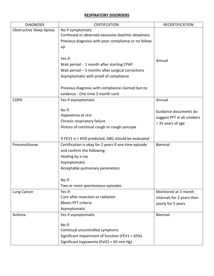## <span id="page-33-0"></span>**RESPIRATORY DISORDERS**

<span id="page-33-4"></span><span id="page-33-3"></span><span id="page-33-2"></span><span id="page-33-1"></span>

| <b>DIAGNOSIS</b>               | <b>CERTIFCATION</b>                                   | <b>RECERTIFICATION</b>     |
|--------------------------------|-------------------------------------------------------|----------------------------|
| <b>Obstructive Sleep Apnea</b> | No if symptomatic                                     |                            |
|                                | Confessed or observed excessive daytime sleepiness    |                            |
|                                | Previous diagnosis with poor compliance or no follow  |                            |
|                                | up                                                    |                            |
|                                |                                                       |                            |
|                                | Yes if:                                               | Annual                     |
|                                | Wait period - 1 month after starting CPAP             |                            |
|                                | Wait period $-3$ months after surgical corrections    |                            |
|                                | Asymptomatic with proof of compliance                 |                            |
|                                |                                                       |                            |
|                                | Previous diagnosis with compliance claimed but no     |                            |
|                                | evidence - One time 3 month card                      |                            |
| <b>COPD</b>                    | Yes if asymptomatic                                   | Annual                     |
|                                |                                                       |                            |
|                                | No if:                                                | Guidance documents do      |
|                                | Hypoxemia at rest                                     | suggest PFT in all smokers |
|                                | Chronic respiratory failure                           | > 35 years of age          |
|                                | History of continual cough or cough syncope           |                            |
|                                |                                                       |                            |
|                                | If FEV1 is < 65% predicted, ABG should be evaluated   |                            |
| Pneumothorax                   | Certification is okay for 2 years if one time episode | Biennial                   |
|                                | and confirm the following:                            |                            |
|                                | Healing by x-ray                                      |                            |
|                                | Asymptomatic                                          |                            |
|                                | Acceptable pulmonary parameters                       |                            |
|                                |                                                       |                            |
|                                | No if:                                                |                            |
|                                | Two or more spontaneous episodes                      |                            |
| Lung Cancer                    | Yes if:                                               | Monitored at 3 month       |
|                                | Cure after resection or radiation                     | intervals for 2 years then |
|                                | Meets PFT criteria                                    | yearly for 5 years         |
|                                | Asymptomatic                                          |                            |
| Asthma                         | Yes if asymptomatic                                   | Biennial                   |
|                                |                                                       |                            |
|                                | No if:                                                |                            |
|                                | Continual uncontrolled symptoms                       |                            |
|                                | Significant impairment of function (FEV1 < 65%)       |                            |
|                                | Significant hypoxemia (PaO2 < 65 mm Hg)               |                            |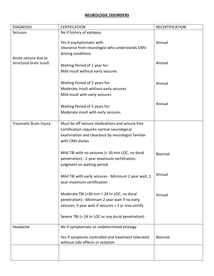## **NEUROLOGIC DISORDERS**

<span id="page-34-2"></span><span id="page-34-1"></span><span id="page-34-0"></span>

| No if history of epilepsy<br>Seizures<br>Yes if asymptomatic with<br>Annual<br>clearance from neurologist who understands CMV<br>driving conditions<br>Acute seizure due to<br>structural brain insult<br>Annual<br>Waiting Period of 1 year for:<br>Mild insult without early seizures<br>Waiting Period of 2 years for:<br>Annual<br>Moderate insult without early seizures<br>Mild insult with early seizures<br>Annual<br>Waiting Period of 5 years for:<br>Moderate insult with early seizures<br>Must be off seizure medications and seizure free<br>Traumatic Brain Injury<br>Certification requires normal neurological<br>examination and clearance by neurologist familiar<br>with CMV duties<br>Mild TBI with no seizures (< 30 min LOC, no dural<br><b>Biennial</b><br>penetration) - 2 year maximum certification,<br>judgment on waiting period<br>Annual<br>Mild TBI with early seizures - Minimum 2 year wait, 1<br>year maximum certification<br>Moderate TBI (>30 min < 24 hr LOC, no dural<br>Annual<br>penetration) - Minimum 2 year wait if no early<br>seizures, 5 year wait if seizures = 1 yr max certify<br>Severe TBI (> 24 hr LOC or any dural penetration) | <b>DIAGNOSIS</b> | <b>CERTIFCATION</b>                        | <b>RECERTIFICATION</b> |
|----------------------------------------------------------------------------------------------------------------------------------------------------------------------------------------------------------------------------------------------------------------------------------------------------------------------------------------------------------------------------------------------------------------------------------------------------------------------------------------------------------------------------------------------------------------------------------------------------------------------------------------------------------------------------------------------------------------------------------------------------------------------------------------------------------------------------------------------------------------------------------------------------------------------------------------------------------------------------------------------------------------------------------------------------------------------------------------------------------------------------------------------------------------------------------------|------------------|--------------------------------------------|------------------------|
|                                                                                                                                                                                                                                                                                                                                                                                                                                                                                                                                                                                                                                                                                                                                                                                                                                                                                                                                                                                                                                                                                                                                                                                        |                  |                                            |                        |
|                                                                                                                                                                                                                                                                                                                                                                                                                                                                                                                                                                                                                                                                                                                                                                                                                                                                                                                                                                                                                                                                                                                                                                                        |                  |                                            |                        |
|                                                                                                                                                                                                                                                                                                                                                                                                                                                                                                                                                                                                                                                                                                                                                                                                                                                                                                                                                                                                                                                                                                                                                                                        |                  |                                            |                        |
|                                                                                                                                                                                                                                                                                                                                                                                                                                                                                                                                                                                                                                                                                                                                                                                                                                                                                                                                                                                                                                                                                                                                                                                        |                  |                                            |                        |
|                                                                                                                                                                                                                                                                                                                                                                                                                                                                                                                                                                                                                                                                                                                                                                                                                                                                                                                                                                                                                                                                                                                                                                                        |                  |                                            |                        |
|                                                                                                                                                                                                                                                                                                                                                                                                                                                                                                                                                                                                                                                                                                                                                                                                                                                                                                                                                                                                                                                                                                                                                                                        |                  |                                            |                        |
|                                                                                                                                                                                                                                                                                                                                                                                                                                                                                                                                                                                                                                                                                                                                                                                                                                                                                                                                                                                                                                                                                                                                                                                        |                  |                                            |                        |
|                                                                                                                                                                                                                                                                                                                                                                                                                                                                                                                                                                                                                                                                                                                                                                                                                                                                                                                                                                                                                                                                                                                                                                                        |                  |                                            |                        |
|                                                                                                                                                                                                                                                                                                                                                                                                                                                                                                                                                                                                                                                                                                                                                                                                                                                                                                                                                                                                                                                                                                                                                                                        |                  |                                            |                        |
|                                                                                                                                                                                                                                                                                                                                                                                                                                                                                                                                                                                                                                                                                                                                                                                                                                                                                                                                                                                                                                                                                                                                                                                        |                  |                                            |                        |
|                                                                                                                                                                                                                                                                                                                                                                                                                                                                                                                                                                                                                                                                                                                                                                                                                                                                                                                                                                                                                                                                                                                                                                                        |                  |                                            |                        |
|                                                                                                                                                                                                                                                                                                                                                                                                                                                                                                                                                                                                                                                                                                                                                                                                                                                                                                                                                                                                                                                                                                                                                                                        |                  |                                            |                        |
|                                                                                                                                                                                                                                                                                                                                                                                                                                                                                                                                                                                                                                                                                                                                                                                                                                                                                                                                                                                                                                                                                                                                                                                        |                  |                                            |                        |
|                                                                                                                                                                                                                                                                                                                                                                                                                                                                                                                                                                                                                                                                                                                                                                                                                                                                                                                                                                                                                                                                                                                                                                                        |                  |                                            |                        |
|                                                                                                                                                                                                                                                                                                                                                                                                                                                                                                                                                                                                                                                                                                                                                                                                                                                                                                                                                                                                                                                                                                                                                                                        |                  |                                            |                        |
|                                                                                                                                                                                                                                                                                                                                                                                                                                                                                                                                                                                                                                                                                                                                                                                                                                                                                                                                                                                                                                                                                                                                                                                        |                  |                                            |                        |
|                                                                                                                                                                                                                                                                                                                                                                                                                                                                                                                                                                                                                                                                                                                                                                                                                                                                                                                                                                                                                                                                                                                                                                                        |                  |                                            |                        |
|                                                                                                                                                                                                                                                                                                                                                                                                                                                                                                                                                                                                                                                                                                                                                                                                                                                                                                                                                                                                                                                                                                                                                                                        |                  |                                            |                        |
|                                                                                                                                                                                                                                                                                                                                                                                                                                                                                                                                                                                                                                                                                                                                                                                                                                                                                                                                                                                                                                                                                                                                                                                        |                  |                                            |                        |
|                                                                                                                                                                                                                                                                                                                                                                                                                                                                                                                                                                                                                                                                                                                                                                                                                                                                                                                                                                                                                                                                                                                                                                                        |                  |                                            |                        |
|                                                                                                                                                                                                                                                                                                                                                                                                                                                                                                                                                                                                                                                                                                                                                                                                                                                                                                                                                                                                                                                                                                                                                                                        |                  |                                            |                        |
|                                                                                                                                                                                                                                                                                                                                                                                                                                                                                                                                                                                                                                                                                                                                                                                                                                                                                                                                                                                                                                                                                                                                                                                        |                  |                                            |                        |
|                                                                                                                                                                                                                                                                                                                                                                                                                                                                                                                                                                                                                                                                                                                                                                                                                                                                                                                                                                                                                                                                                                                                                                                        |                  |                                            |                        |
|                                                                                                                                                                                                                                                                                                                                                                                                                                                                                                                                                                                                                                                                                                                                                                                                                                                                                                                                                                                                                                                                                                                                                                                        |                  |                                            |                        |
|                                                                                                                                                                                                                                                                                                                                                                                                                                                                                                                                                                                                                                                                                                                                                                                                                                                                                                                                                                                                                                                                                                                                                                                        |                  |                                            |                        |
|                                                                                                                                                                                                                                                                                                                                                                                                                                                                                                                                                                                                                                                                                                                                                                                                                                                                                                                                                                                                                                                                                                                                                                                        |                  |                                            |                        |
|                                                                                                                                                                                                                                                                                                                                                                                                                                                                                                                                                                                                                                                                                                                                                                                                                                                                                                                                                                                                                                                                                                                                                                                        |                  |                                            |                        |
|                                                                                                                                                                                                                                                                                                                                                                                                                                                                                                                                                                                                                                                                                                                                                                                                                                                                                                                                                                                                                                                                                                                                                                                        |                  |                                            |                        |
|                                                                                                                                                                                                                                                                                                                                                                                                                                                                                                                                                                                                                                                                                                                                                                                                                                                                                                                                                                                                                                                                                                                                                                                        |                  |                                            |                        |
|                                                                                                                                                                                                                                                                                                                                                                                                                                                                                                                                                                                                                                                                                                                                                                                                                                                                                                                                                                                                                                                                                                                                                                                        |                  |                                            |                        |
|                                                                                                                                                                                                                                                                                                                                                                                                                                                                                                                                                                                                                                                                                                                                                                                                                                                                                                                                                                                                                                                                                                                                                                                        | Headache         | No if symptomatic or undetermined etiology |                        |
| Biennial<br>Yes if symptoms controlled and treatment tolerated                                                                                                                                                                                                                                                                                                                                                                                                                                                                                                                                                                                                                                                                                                                                                                                                                                                                                                                                                                                                                                                                                                                         |                  |                                            |                        |
| without side effects or sedation                                                                                                                                                                                                                                                                                                                                                                                                                                                                                                                                                                                                                                                                                                                                                                                                                                                                                                                                                                                                                                                                                                                                                       |                  |                                            |                        |
|                                                                                                                                                                                                                                                                                                                                                                                                                                                                                                                                                                                                                                                                                                                                                                                                                                                                                                                                                                                                                                                                                                                                                                                        |                  |                                            |                        |
|                                                                                                                                                                                                                                                                                                                                                                                                                                                                                                                                                                                                                                                                                                                                                                                                                                                                                                                                                                                                                                                                                                                                                                                        |                  |                                            |                        |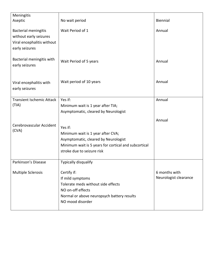<span id="page-35-2"></span><span id="page-35-1"></span><span id="page-35-0"></span>

| Meningitis                       |                                                        |                                        |
|----------------------------------|--------------------------------------------------------|----------------------------------------|
| Aseptic                          | No wait period                                         | Biennial                               |
| <b>Bacterial meningitis</b>      | Wait Period of 1                                       | Annual                                 |
| without early seizures           |                                                        |                                        |
| Viral encephalitis without       |                                                        |                                        |
| early seizures                   |                                                        |                                        |
| Bacterial meningitis with        | Wait Period of 5 years                                 | Annual                                 |
| early seizures                   |                                                        |                                        |
|                                  |                                                        |                                        |
|                                  |                                                        |                                        |
| Viral encephalitis with          | Wait period of 10 years                                | Annual                                 |
| early seizures                   |                                                        |                                        |
| <b>Transient Ischemic Attack</b> | Yes if:                                                | Annual                                 |
| (TIA)                            | Minimum wait is 1 year after TIA;                      |                                        |
|                                  | Asymptomatic, cleared by Neurologist                   |                                        |
|                                  |                                                        |                                        |
| Cerebrovascular Accident         |                                                        | Annual                                 |
| (CVA)                            | Yes if:                                                |                                        |
|                                  | Minimum wait is 1 year after CVA;                      |                                        |
|                                  | Asymptomatic, cleared by Neurologist                   |                                        |
|                                  | Minimum wait is 5 years for cortical and subcortical   |                                        |
|                                  | stroke due to seizure risk                             |                                        |
| Parkinson's Disease              | Typically disqualify                                   |                                        |
|                                  |                                                        |                                        |
| <b>Multiple Sclerosis</b>        | Certify if:                                            | 6 months with<br>Neurologist clearance |
|                                  | If mild symptoms<br>Tolerate meds without side effects |                                        |
|                                  | NO on-off effects                                      |                                        |
|                                  | Normal or above neuropsych battery results             |                                        |
|                                  | NO mood disorder                                       |                                        |
|                                  |                                                        |                                        |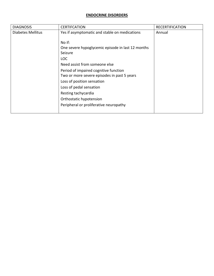## **ENDOCRINE DISORDERS**

<span id="page-36-0"></span>

| <b>DIAGNOSIS</b>  | <b>CERTIFCATION</b>                               | <b>RECERTIFICATION</b> |
|-------------------|---------------------------------------------------|------------------------|
| Diabetes Mellitus | Yes if asymptomatic and stable on medications     | Annual                 |
|                   |                                                   |                        |
|                   | No if:                                            |                        |
|                   | One severe hypoglycemic episode in last 12 months |                        |
|                   | Seizure                                           |                        |
|                   | <b>LOC</b>                                        |                        |
|                   | Need assist from someone else                     |                        |
|                   | Period of impaired cognitive function             |                        |
|                   | Two or more severe episodes in past 5 years       |                        |
|                   | Loss of position sensation                        |                        |
|                   | Loss of pedal sensation                           |                        |
|                   | Resting tachycardia                               |                        |
|                   | Orthostatic hypotension                           |                        |
|                   | Peripheral or proliferative neuropathy            |                        |
|                   |                                                   |                        |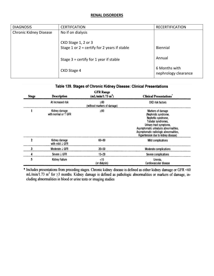#### **RENAL DISORDERS**

| <b>DIAGNOSIS</b>       | <b>CERTIFCATION</b>                                                   | <b>RECERTIFICATION</b>                |
|------------------------|-----------------------------------------------------------------------|---------------------------------------|
| Chronic Kidney Disease | No if on dialysis                                                     |                                       |
|                        | CKD Stage 1, 2 or 3<br>Stage 1 or $2 =$ certify for 2 years if stable | Biennial                              |
|                        | Stage $3 =$ certify for 1 year if stable                              | Annual                                |
|                        | CKD Stage 4                                                           | 6 Months with<br>nephrology clearance |

#### Table 139. Stages of Chronic Kidney Disease: Clinical Presentations

| <b>Stage</b> | Description                           | <b>GFR Range</b><br>(mL/min/1.73 m <sup>2</sup> ) | <b>Clinical Presentations</b>                                                                                                                                                                                                               |
|--------------|---------------------------------------|---------------------------------------------------|---------------------------------------------------------------------------------------------------------------------------------------------------------------------------------------------------------------------------------------------|
|              | At increased risk                     | ≥60<br>(without markers of damage)                | <b>CKD risk factors</b>                                                                                                                                                                                                                     |
|              | Kidney damage<br>with normal or 1 GFR | ≥90                                               | Markers of damage<br>(Nephrotic syndrome,<br>Nephritic syndrome,<br>Tubular syndromes,<br>Urinary tract symptoms,<br>Asymptomatic unnalysis abnormalities,<br>Asymptomatic radiologic abnormalities,<br>Hypertension due to kidney disease) |
| 2            | Kidney damage<br>with mild ↓ GFR      | 60-89                                             | Mild complications                                                                                                                                                                                                                          |
| 3            | Moderate J GFR                        | $30 - 59$                                         | Moderate complications                                                                                                                                                                                                                      |
|              | Severe J GFR                          | 15-29                                             | Severe complications                                                                                                                                                                                                                        |
| 5            | Kidney Failure                        | <15<br>(or dialysis)                              | Uremia,<br>Cardiovascular disease                                                                                                                                                                                                           |

\* Includes presentations from preceding stages. Chronic kidney disease is defined as either kidney damage or GFR <60 mL/min/1.73 m<sup>2</sup> for  $\geq$ 3 months. Kidney damage is defined as pathologic abnormalities or markers of d